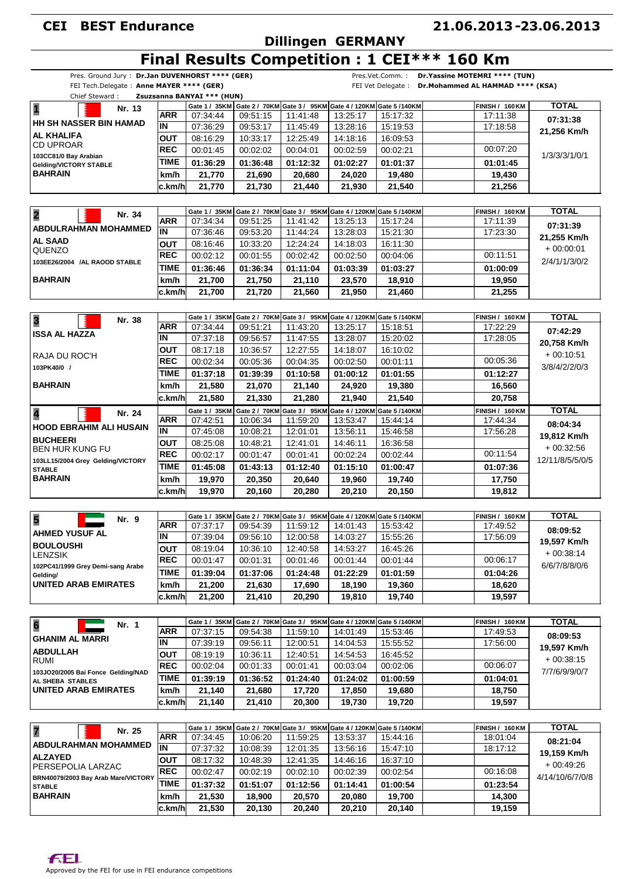# **Dillingen GERMANY**

### **21.06.2013 23.06.2013 -**

# **Final Results Competition : 1 CEI\*\*\* 160 Km**

|                                                    |                          | FEI Tech.Delegate: Anne MAYER **** (GER) |                  |                             |                                                                                    |                              | FEI Vet Delegate : Dr. Mohammed AL HAMMAD **** (KSA) |                 |
|----------------------------------------------------|--------------------------|------------------------------------------|------------------|-----------------------------|------------------------------------------------------------------------------------|------------------------------|------------------------------------------------------|-----------------|
| Chief Steward:                                     |                          | Zsuzsanna BANYAI *** (HUN)               |                  |                             |                                                                                    |                              |                                                      |                 |
| $\overline{\mathbf{1}}$<br>Nr. 13                  |                          |                                          |                  |                             | Gate 1 / 35KM Gate 2 / 70KM Gate 3 / 95KM Gate 4 / 120KM Gate 5 / 140KM            |                              | <b>FINISH / 160 KM</b>                               | <b>TOTAL</b>    |
| <b>HH SH NASSER BIN HAMAD</b>                      | <b>ARR</b>               | 07:34:44                                 | 09:51:15         | 11:41:48                    | 13:25:17                                                                           | 15:17:32                     | 17:11:38                                             | 07:31:38        |
| AL KHALIFA                                         | $\overline{\mathsf{IN}}$ | 07:36:29                                 | 09:53:17         | 11:45:49                    | 13:28:16                                                                           | 15:19:53                     | 17:18:58                                             | 21,256 Km/h     |
| <b>CD UPROAR</b>                                   | <b>OUT</b>               | 08:16:29                                 | 10:33:17         | 12:25:49                    | 14:18:16                                                                           | 16:09:53                     |                                                      |                 |
| 103CC81/0 Bay Arabian                              | <b>REC</b>               | 00:01:45                                 | 00:02:02         | 00:04:01                    | 00:02:59                                                                           | 00:02:21                     | 00:07:20                                             | 1/3/3/3/1/0/1   |
| Gelding/VICTORY STABLE                             | <b>TIME</b>              | 01:36:29                                 | 01:36:48         | 01:12:32                    | 01:02:27                                                                           | 01:01:37                     | 01:01:45                                             |                 |
| <b>BAHRAIN</b>                                     | km/h                     | 21,770                                   | 21,690           | 20,680                      | 24,020                                                                             | 19,480                       | 19,430                                               |                 |
|                                                    | c.km/h                   | 21.770                                   | 21,730           | 21,440                      | 21,930                                                                             | 21,540                       | 21,256                                               |                 |
|                                                    |                          |                                          |                  |                             |                                                                                    |                              |                                                      |                 |
| $\overline{\mathbf{2}}$                            |                          | Gate 1 / 35KM                            |                  |                             | Gate 2 / 70KM Gate 3 / 95KM Gate 4 / 120KM Gate 5 /140KM                           |                              | <b>FINISH / 160 KM</b>                               | <b>TOTAL</b>    |
| Nr. 34                                             | <b>ARR</b>               | 07:34:34                                 | 09:51:25         | 11:41:42                    | 13:25:13                                                                           | 15:17:24                     | 17:11:39                                             | 07:31:39        |
| <b>ABDULRAHMAN MOHAMMED</b>                        | IN                       | 07:36:46                                 | 09:53:20         | 11:44:24                    | 13:28:03                                                                           | 15:21:30                     | 17:23:30                                             |                 |
| <b>AL SAAD</b>                                     | <b>OUT</b>               | 08:16:46                                 | 10:33:20         | 12:24:24                    | 14:18:03                                                                           | 16:11:30                     |                                                      | 21,255 Km/h     |
| QUENZO                                             | <b>REC</b>               | 00:02:12                                 | 00:01:55         | 00:02:42                    | 00:02:50                                                                           | 00:04:06                     | 00:11:51                                             | $+00:00:01$     |
| 103EE26/2004 /AL RAOOD STABLE                      | <b>TIME</b>              | 01:36:46                                 | 01:36:34         | 01:11:04                    | 01:03:39                                                                           | 01:03:27                     | 01:00:09                                             | 2/4/1/1/3/0/2   |
| <b>BAHRAIN</b>                                     | km/h                     | 21,700                                   | 21,750           | 21,110                      | 23,570                                                                             | 18,910                       | 19,950                                               |                 |
|                                                    | c.km/h                   | 21,700                                   | 21,720           | 21,560                      | 21,950                                                                             | 21,460                       | 21,255                                               |                 |
|                                                    |                          |                                          |                  |                             |                                                                                    |                              |                                                      |                 |
|                                                    |                          |                                          |                  |                             |                                                                                    |                              |                                                      |                 |
| 3<br>Nr. 38                                        | <b>ARR</b>               | 07:34:44                                 | 09:51:21         | 11:43:20                    | Gate 1 / 35KM Gate 2 / 70KM Gate 3 / 95KM Gate 4 / 120KM Gate 5 /140KM<br>13:25:17 | 15:18:51                     | <b>FINISH / 160 KM</b><br>17:22:29                   | <b>TOTAL</b>    |
| <b>ISSA AL HAZZA</b>                               | IN                       | 07:37:18                                 | 09:56:57         | 11:47:55                    | 13:28:07                                                                           | 15:20:02                     | 17:28:05                                             | 07:42:29        |
|                                                    | <b>OUT</b>               |                                          |                  |                             | 14:18:07                                                                           |                              |                                                      | 20,758 Km/h     |
| RAJA DU ROC'H                                      | <b>REC</b>               | 08:17:18                                 | 10:36:57         | 12:27:55                    |                                                                                    | 16:10:02                     |                                                      | $+00:10:51$     |
| 103PK40/0 /                                        |                          | 00:02:34                                 | 00:05:36         | 00:04:35                    | 00:02:50                                                                           | 00:01:11                     | 00:05:36                                             | 3/8/4/2/2/0/3   |
|                                                    | <b>TIME</b>              | 01:37:18                                 | 01:39:39         | 01:10:58                    | 01:00:12                                                                           | 01:01:55                     | 01:12:27                                             |                 |
| <b>BAHRAIN</b>                                     | km/h                     | 21,580                                   | 21,070           | 21,140                      | 24,920                                                                             | 19,380                       | 16,560                                               |                 |
|                                                    | c.km/h                   | 21,580                                   | 21,330           | 21,280                      | 21,940                                                                             | 21,540                       | 20,758                                               |                 |
| 4<br>Nr. 24                                        |                          | Gate 1 / 35KM                            |                  | Gate 2 / 70KM Gate 3 / 95KM |                                                                                    | Gate 4 / 120KM Gate 5 /140KM | <b>FINISH / 160 KM</b>                               | <b>TOTAL</b>    |
| <b>HOOD EBRAHIM ALI HUSAIN</b>                     | <b>ARR</b>               | 07:42:51                                 | 10:06:34         | 11:59:20                    | 13:53:47                                                                           | 15:44:14                     | 17:44:34                                             | 08:04:34        |
|                                                    | IN                       | 07:45:08                                 | 10:08:21         | 12:01:01                    | 13:56:11                                                                           | 15:46:58                     | 17:56:28                                             | 19,812 Km/h     |
| <b>BUCHEERI</b><br><b>BEN HUR KUNG FU</b>          | <b>OUT</b>               | 08:25:08                                 | 10:48:21         | 12:41:01                    | 14:46:11                                                                           | 16:36:58                     |                                                      | $+00:32:56$     |
|                                                    | <b>REC</b>               | 00:02:17                                 | 00:01:47         | 00:01:41                    | 00:02:24                                                                           | 00:02:44                     | 00:11:54                                             | 12/11/8/5/5/0/5 |
| 103LL15/2004 Grey Gelding/VICTORY<br><b>STABLE</b> | <b>TIME</b>              | 01:45:08                                 | 01:43:13         | 01:12:40                    | 01:15:10                                                                           | 01:00:47                     | 01:07:36                                             |                 |
| <b>BAHRAIN</b>                                     | km/h                     | 19,970                                   | 20,350           | 20,640                      | 19,960                                                                             | 19,740                       | 17,750                                               |                 |
|                                                    | c.km/h                   | 19,970                                   | 20,160           | 20,280                      | 20,210                                                                             | 20,150                       | 19,812                                               |                 |
|                                                    |                          |                                          |                  |                             |                                                                                    |                              |                                                      |                 |
|                                                    |                          |                                          |                  |                             | Gate 1 / 35KM Gate 2 / 70KM Gate 3 / 95KM Gate 4 / 120KM Gate 5 / 140KM            |                              | <b>FINISH / 160 KM</b>                               | <b>TOTAL</b>    |
| 5<br>Nr. 9                                         | <b>ARR</b>               | 07:37:17                                 | 09:54:39         | 11:59:12                    | 14:01:43                                                                           | 15:53:42                     | 17:49:52                                             |                 |
| <b>AHMED YUSUF AL</b>                              | ĪN                       | 07:39:04                                 | 09:56:10         | 12:00:58                    | 14:03:27                                                                           | 15:55:26                     | 17:56:09                                             | 08:09:52        |
| <b>BOULOUSHI</b>                                   | <b>OUT</b>               | 08:19:04                                 | 10:36:10         | 12:40:58                    | 14:53:27                                                                           | 16:45:26                     |                                                      | 19,597 Km/h     |
| LENZSIK                                            | <b>REC</b>               | 00:01:47                                 | 00:01:31         | 00:01:46                    | 00:01:44                                                                           | 00:01:44                     | 00:06:17                                             | $+00.38.14$     |
| 102PC41/1999 Grey Demi-sang Arabe                  | <b>TIME</b>              | 01:39:04                                 | 01:37:06         | 01:24:48                    | 01:22:29                                                                           | 01:01:59                     | 01:04:26                                             | 6/6/7/8/8/0/6   |
| Gelding/<br><b>UNITED ARAB EMIRATES</b>            |                          |                                          |                  |                             |                                                                                    |                              |                                                      |                 |
|                                                    | km/h                     | 21,200                                   | 21,630           | 17,690                      | 18,190                                                                             | 19,360                       | 18,620                                               |                 |
|                                                    | c.km/h                   | 21,200                                   | 21,410           | 20,290                      | 19,810                                                                             | 19,740                       | 19,597                                               |                 |
|                                                    |                          |                                          |                  |                             |                                                                                    |                              |                                                      |                 |
| $6\phantom{a}$<br>Nr. 1                            |                          | Gate 1 / 35KM                            |                  |                             | Gate 2 / 70KM Gate 3 / 95KM Gate 4 / 120KM Gate 5 /140KM                           |                              | <b>FINISH / 160 KM</b>                               | <b>TOTAL</b>    |
| <b>GHANIM AL MARRI</b>                             | <b>ARR</b>               | 07:37:15                                 | 09:54:38         | 11:59:10                    | 14:01:49                                                                           | 15:53:46                     | 17:49:53                                             | 08:09:53        |
| <b>ABDULLAH</b>                                    | IN                       | 07:39:19                                 | 09:56:11         | 12:00:51                    | 14:04:53                                                                           | 15:55:52                     | 17:56:00                                             | 19,597 Km/h     |
| RUMI                                               | <b>OUT</b>               | 08:19:19                                 | 10:36:11         | 12:40:51                    | 14:54:53                                                                           | 16:45:52                     |                                                      | $+00:38:15$     |
| 103JO20/2005 Bai Fonce Gelding/NAD                 | <b>REC</b>               | 00:02:04                                 | 00:01:33         | 00:01:41                    | 00:03:04                                                                           | 00:02:06                     | 00:06:07                                             | 7/7/6/9/9/0/7   |
| AL SHEBA STABLES                                   | <b>TIME</b>              | 01:39:19                                 | 01:36:52         | 01:24:40                    | 01:24:02                                                                           | 01:00:59                     | 01:04:01                                             |                 |
| <b>UNITED ARAB EMIRATES</b>                        | km/h                     | 21,140                                   | 21,680           | 17,720                      | 17,850                                                                             | 19,680                       | 18,750                                               |                 |
|                                                    | c.km/h                   | 21,140                                   | 21,410           | 20,300                      | 19,730                                                                             | 19,720                       | 19,597                                               |                 |
|                                                    |                          |                                          |                  |                             |                                                                                    |                              |                                                      |                 |
|                                                    |                          | Gate 1 / 35KM                            |                  |                             | Gate 2 / 70KM Gate 3 / 95KM Gate 4 / 120KM Gate 5 /140KM                           |                              | <b>FINISH / 160 KM</b>                               | <b>TOTAL</b>    |
| $\overline{\mathbf{z}}$<br>Nr. 25                  | <b>ARR</b>               | 07:34:45                                 | 10:06:20         | 11:59:25                    | 13:53:37                                                                           | 15:44:16                     | 18:01:04                                             |                 |
| <b>ABDULRAHMAN MOHAMMED</b>                        | $\overline{\mathsf{IN}}$ | 07:37:32                                 | 10:08:39         | 12:01:35                    | 13:56:16                                                                           | 15:47:10                     | 18:17:12                                             | 08:21:04        |
| <b>ALZAYED</b>                                     | <b>OUT</b>               | 08:17:32                                 | 10:48:39         | 12:41:35                    | 14:46:16                                                                           | 16:37:10                     |                                                      | 19,159 Km/h     |
| PERSEPOLIA LARZAC                                  | <b>REC</b>               | 00:02:47                                 | 00:02:19         | 00:02:10                    | 00:02:39                                                                           | 00:02:54                     | 00:16:08                                             | $+00:49:26$     |
| BRN40079/2003 Bay Arab Mare/VICTORY                | <b>TIME</b>              |                                          |                  |                             |                                                                                    |                              |                                                      | 4/14/10/6/7/0/8 |
| <b>STABLE</b>                                      |                          | 01:37:32                                 | 01:51:07         | 01:12:56                    | 01:14:41                                                                           | 01:00:54                     | 01:23:54                                             |                 |
|                                                    |                          |                                          |                  |                             |                                                                                    |                              |                                                      |                 |
| <b>BAHRAIN</b>                                     | km/h<br>c.km/h           | 21,530<br>21,530                         | 18,900<br>20,130 | 20,570<br>20,240            | 20,080<br>20,210                                                                   | 19,700<br>20,140             | 14,300<br>19,159                                     |                 |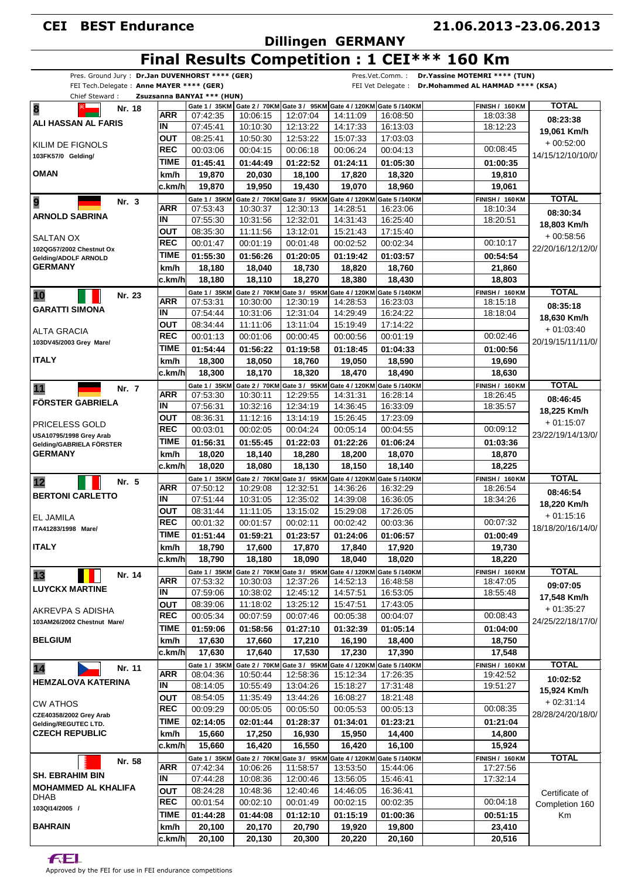### **Dillingen GERMANY**

#### **21.06.2013 23.06.2013 -**

### **Final Results Competition : 1 CEI\*\*\* 160 Km**

| Pres. Ground Jury: Dr.Jan DUVENHORST **** (GER)<br>FEI Tech.Delegate: Anne MAYER **** (GER) |             |                            |                                               |               |                                                                        | Pres.Vet.Comm.:<br>FEI Vet Delegate: | Dr. Yassine MOTEMRI **** (TUN)<br>Dr.Mohammed AL HAMMAD **** (KSA) |                   |
|---------------------------------------------------------------------------------------------|-------------|----------------------------|-----------------------------------------------|---------------|------------------------------------------------------------------------|--------------------------------------|--------------------------------------------------------------------|-------------------|
| Chief Steward:                                                                              |             | Zsuzsanna BANYAI *** (HUN) |                                               |               |                                                                        |                                      |                                                                    |                   |
| 8<br>Nr. 18                                                                                 |             |                            | Gate 1 / 35KM   Gate 2 / 70KM   Gate 3 / 95KM |               | Gate 4 / 120KM Gate 5 /140KM                                           |                                      | <b>FINISH / 160 KM</b>                                             | <b>TOTAL</b>      |
| ALI HASSAN AL FARIS                                                                         | ARR         | 07:42:35                   | 10:06:15                                      | 12:07:04      | 14:11:09                                                               | 16:08:50                             | 18:03:38                                                           | 08:23:38          |
|                                                                                             | ΙN          | 07:45:41                   | 10:10:30                                      | 12:13:22      | 14:17:33                                                               | 16:13:03                             | 18:12:23                                                           | 19.061 Km/h       |
| KILIM DE FIGNOLS                                                                            | OUT         | 08:25:41                   | 10:50:30                                      | 12:53:22      | 15:07:33                                                               | 17:03:03                             |                                                                    | $+00:52:00$       |
| 103FK57/0 Gelding/                                                                          | <b>REC</b>  | 00:03:06                   | 00:04:15                                      | 00:06:18      | 00:06:24                                                               | 00:04:13                             | 00:08:45                                                           | 14/15/12/10/10/0/ |
|                                                                                             | <b>TIME</b> | 01:45:41                   | 01:44:49                                      | 01:22:52      | 01:24:11                                                               | 01:05:30                             | 01:00:35                                                           |                   |
| <b>OMAN</b>                                                                                 | km/h        | 19,870                     | 20.030                                        | 18,100        | 17.820                                                                 | 18.320                               | 19,810                                                             |                   |
|                                                                                             | c.km/h      | 19,870                     | 19,950                                        | 19,430        | 19,070                                                                 | 18,960                               | 19,061                                                             |                   |
| 9<br>Nr. 3                                                                                  |             | Gate 1 / 35KM              |                                               |               | Gate 2 / 70KM Gate 3 / 95KM Gate 4 / 120KM Gate 5 /140KM               |                                      | <b>FINISH / 160 KM</b>                                             | <b>TOTAL</b>      |
|                                                                                             | <b>ARR</b>  | 07:53:43                   | 10:30:37                                      | 12:30:13      | 14:28:51                                                               | 16:23:06                             | 18:10:34                                                           | 08:30:34          |
| ARNOLD SABRINA                                                                              | IN          | 07:55:30                   | 10:31:56                                      | 12:32:01      | 14:31:43                                                               | 16:25:40                             | 18:20:51                                                           | 18,803 Km/h       |
|                                                                                             | <b>OUT</b>  | 08:35:30                   | 11:11:56                                      | 13:12:01      | 15:21:43                                                               | 17:15:40                             |                                                                    | $+00.58.56$       |
| SALTAN OX                                                                                   | <b>REC</b>  | 00:01:47                   | 00:01:19                                      | 00:01:48      | 00:02:52                                                               | 00:02:34                             | 00:10:17                                                           |                   |
| 102QG57/2002 Chestnut Ox<br>Gelding/ADOLF ARNOLD                                            | <b>TIME</b> | 01:55:30                   | 01:56:26                                      | 01:20:05      | 01:19:42                                                               | 01:03:57                             | 00:54:54                                                           | 22/20/16/12/12/0/ |
| <b>GERMANY</b>                                                                              | km/h        | 18,180                     | 18,040                                        | 18,730        | 18,820                                                                 | 18,760                               | 21,860                                                             |                   |
|                                                                                             | c.km/hl     | 18,180                     | 18,110                                        | 18,270        | 18,380                                                                 | 18,430                               | 18,803                                                             |                   |
|                                                                                             |             | Gate 1 / 35KM              |                                               |               | Gate 2 / 70KM Gate 3 / 95KM Gate 4 / 120KM Gate 5 /140KM               |                                      | <b>FINISH / 160 KM</b>                                             | <b>TOTAL</b>      |
| 10<br>Nr. 23                                                                                | <b>ARR</b>  | 07:53:31                   | 10:30:00                                      | 12:30:19      | 14:28:53                                                               | 16:23:03                             | 18:15:18                                                           |                   |
| <b>GARATTI SIMONA</b>                                                                       | ΙN          | 07:54:44                   | 10:31:06                                      | 12:31:04      | 14:29:49                                                               | 16:24:22                             | 18:18:04                                                           | 08:35:18          |
|                                                                                             | <b>OUT</b>  | 08:34:44                   | 11:11:06                                      | 13:11:04      | 15:19:49                                                               | 17:14:22                             |                                                                    | 18,630 Km/h       |
| <b>ALTA GRACIA</b>                                                                          | <b>REC</b>  | 00:01:13                   | 00:01:06                                      | 00:00:45      | 00:00:56                                                               | 00:01:19                             | 00:02:46                                                           | $+01:03:40$       |
| 103DV45/2003 Grey Mare/                                                                     | <b>TIME</b> |                            |                                               |               |                                                                        |                                      |                                                                    | 20/19/15/11/11/0/ |
|                                                                                             |             | 01:54:44                   | 01:56:22                                      | 01:19:58      | 01:18:45                                                               | 01:04:33                             | 01:00:56                                                           |                   |
| <b>ITALY</b>                                                                                | km/h        | 18,300                     | 18,050                                        | 18,760        | 19,050                                                                 | 18,590                               | 19,690                                                             |                   |
|                                                                                             | c.km/h      | 18,300                     | 18,170                                        | 18,320        | 18,470                                                                 | 18,490                               | 18,630                                                             |                   |
| 11<br>Nr. 7                                                                                 |             | Gate 1 / 35KM              |                                               |               | Gate 2 / 70KM Gate 3 / 95KM Gate 4 / 120KM Gate 5 /140KM               |                                      | <b>FINISH / 160 KM</b>                                             | <b>TOTAL</b>      |
| <b>FÖRSTER GABRIELA</b>                                                                     | ARR         | 07:53:30                   | 10:30:11                                      | 12:29:55      | 14:31:31                                                               | 16:28:14                             | 18:26:45                                                           | 08:46:45          |
|                                                                                             | IN          | 07:56:31                   | 10:32:16                                      | 12:34:19      | 14:36:45                                                               | 16:33:09                             | 18:35:57                                                           | 18,225 Km/h       |
| PRICELESS GOLD                                                                              | OUT         | 08:36:31                   | 11:12:16                                      | 13:14:19      | 15:26:45                                                               | 17:23:09                             |                                                                    | $+01:15:07$       |
| USA10795/1998 Grey Arab                                                                     | <b>REC</b>  | 00:03:01                   | 00:02:05                                      | 00:04:24      | 00:05:14                                                               | 00:04:55                             | 00:09:12                                                           | 23/22/19/14/13/0/ |
| Gelding/GABRIELA FÖRSTER                                                                    | <b>TIME</b> | 01:56:31                   | 01:55:45                                      | 01:22:03      | 01:22:26                                                               | 01:06:24                             | 01:03:36                                                           |                   |
| <b>GERMANY</b>                                                                              | km/h        | 18,020                     | 18,140                                        | 18,280        | 18,200                                                                 | 18,070                               | 18,870                                                             |                   |
|                                                                                             | c.km/hl     | 18,020                     | 18,080                                        | 18,130        | 18,150                                                                 | 18,140                               | 18,225                                                             |                   |
| Nr. 5<br>12                                                                                 |             |                            |                                               |               | Gate 1 / 35KM Gate 2 / 70KM Gate 3 / 95KM Gate 4 / 120KM Gate 5 /140KM |                                      | <b>FINISH / 160 KM</b>                                             | <b>TOTAL</b>      |
|                                                                                             | <b>ARR</b>  | 07:50:12                   | 10:29:08                                      | 12:32:51      | 14:36:26                                                               | 16:32:29                             | 18:26:54                                                           | 08:46:54          |
| <b>BERTONI CARLETTO</b>                                                                     | ΙN          | 07:51:44                   | 10:31:05                                      | 12:35:02      | 14:39:08                                                               | 16:36:05                             | 18:34:26                                                           | 18,220 Km/h       |
|                                                                                             | OUT         | 08:31:44                   | 11:11:05                                      | 13:15:02      | 15:29:08                                                               | 17:26:05                             |                                                                    |                   |
| EL JAMILA                                                                                   | <b>REC</b>  | 00:01:32                   | 00:01:57                                      | 00:02:11      | 00:02:42                                                               | 00:03:36                             | 00:07:32                                                           | $+01:15:16$       |
| ITA41283/1998 Mare/                                                                         | <b>TIME</b> | 01:51:44                   | 01:59:21                                      | 01:23:57      | 01:24:06                                                               | 01:06:57                             | 01:00:49                                                           | 18/18/20/16/14/0/ |
| <b>ITALY</b>                                                                                | km/h        | 18,790                     | 17,600                                        | 17,870        | 17,840                                                                 | 17,920                               | 19,730                                                             |                   |
|                                                                                             | c.km/h      | 18,790                     | 18,180                                        | 18,090        | 18,040                                                                 | 18,020                               | 18.220                                                             |                   |
|                                                                                             |             | Gate 1 / 35KM              |                                               |               | Gate 2 / 70KM Gate 3 / 95KM Gate 4 / 120KM Gate 5 /140KM               |                                      | <b>FINISH / 160 KM</b>                                             | <b>TOTAL</b>      |
| 13<br>Nr. 14                                                                                | <b>ARR</b>  | 07:53:32                   | 10:30:03                                      | 12:37:26      | 14:52:13                                                               | 16:48:58                             | 18:47:05                                                           |                   |
| <b>LUYCKX MARTINE</b>                                                                       | IN          | 07:59:06                   | 10:38:02                                      | 12:45:12      | 14:57:51                                                               | 16:53:05                             | 18:55:48                                                           | 09:07:05          |
|                                                                                             | OUT         | 08:39:06                   | 11:18:02                                      | 13:25:12      | 15:47:51                                                               | 17:43:05                             |                                                                    | 17,548 Km/h       |
| AKREVPA S ADISHA                                                                            | <b>REC</b>  | 00:05:34                   | 00:07:59                                      | 00:07:46      | 00:05:38                                                               | 00:04:07                             | 00:08:43                                                           | $+01:35:27$       |
| 103AM26/2002 Chestnut Mare/                                                                 | <b>TIME</b> | 01:59:06                   | 01:58:56                                      |               |                                                                        |                                      |                                                                    | 24/25/22/18/17/0/ |
| <b>BELGIUM</b>                                                                              |             |                            |                                               | 01:27:10      | 01:32:39                                                               | 01:05:14                             | 01:04:00                                                           |                   |
|                                                                                             | km/h        | 17,630                     | 17,660                                        | 17,210        | 16,190                                                                 | 18,400                               | 18,750                                                             |                   |
|                                                                                             | c.km/h      | 17,630                     | 17,640                                        | 17,530        | 17,230                                                                 | 17,390                               | 17,548                                                             |                   |
| 14<br>Nr. 11                                                                                |             | Gate 1 / 35KM              |                                               |               | Gate 2 / 70KM Gate 3 / 95KM Gate 4 / 120KM Gate 5 /140KM               |                                      | <b>FINISH / 160 KM</b>                                             | <b>TOTAL</b>      |
| <b>HEMZALOVA KATERINA</b>                                                                   | <b>ARR</b>  | 08:04:36                   | 10:50:44                                      | 12:58:36      | 15:12:34                                                               | 17:26:35                             | 19:42:52                                                           | 10:02:52          |
|                                                                                             | IN          | 08:14:05                   | 10:55:49                                      | 13:04:26      | 15:18:27                                                               | 17:31:48                             | 19:51:27                                                           | 15,924 Km/h       |
| <b>CW ATHOS</b>                                                                             | OUT         | 08:54:05                   | 11:35:49                                      | 13:44:26      | 16:08:27                                                               | 18:21:48                             |                                                                    | $+02:31:14$       |
| CZE40358/2002 Grey Arab                                                                     | <b>REC</b>  | 00:09:29                   | 00:05:05                                      | 00:05:50      | 00:05:53                                                               | 00:05:13                             | 00:08:35                                                           | 28/28/24/20/18/0/ |
| Gelding/REGUTEC LTD.                                                                        | TIME        | 02:14:05                   | 02:01:44                                      | 01:28:37      | 01:34:01                                                               | 01:23:21                             | 01:21:04                                                           |                   |
| <b>CZECH REPUBLIC</b>                                                                       | km/h        | 15,660                     | 17,250                                        | 16,930        | 15,950                                                                 | 14,400                               | 14,800                                                             |                   |
|                                                                                             | c.km/h      | 15,660                     | 16,420                                        | 16,550        | 16,420                                                                 | 16,100                               | 15,924                                                             |                   |
| Nr. 58                                                                                      |             | Gate 1 / 35KM              | Gate 2 / 70KM                                 | Gate 3 / 95KM | Gate 4 / 120KM Gate 5 /140KM                                           |                                      | <b>FINISH / 160 KM</b>                                             | <b>TOTAL</b>      |
|                                                                                             | <b>ARR</b>  | 07:42:34                   | 10:06:26                                      | 11:58:57      | 13:53:50                                                               | 15:44:06                             | 17:27:56                                                           |                   |
| <b>SH. EBRAHIM BIN</b>                                                                      | IN          | 07:44:28                   | 10:08:36                                      | 12:00:46      | 13:56:05                                                               | 15:46:41                             | 17:32:14                                                           |                   |
| <b>MOHAMMED AL KHALIFA</b>                                                                  | OUT         | 08:24:28                   | 10:48:36                                      | 12:40:46      | 14:46:05                                                               | 16:36:41                             |                                                                    | Certificate of    |
| DHAB                                                                                        | <b>REC</b>  | 00:01:54                   | 00:02:10                                      | 00:01:49      | 00:02:15                                                               | 00:02:35                             | 00:04:18                                                           | Completion 160    |
| 103QI14/2005 /                                                                              | <b>TIME</b> | 01:44:28                   | 01:44:08                                      | 01:12:10      | 01:15:19                                                               | 01:00:36                             | 00:51:15                                                           | Km                |
| <b>BAHRAIN</b>                                                                              | km/h        | 20,100                     | 20,170                                        | 20,790        | 19,920                                                                 | 19,800                               | 23,410                                                             |                   |
|                                                                                             | c.km/h      | 20,100                     | 20,130                                        | 20,300        | 20,220                                                                 | 20,160                               | 20,516                                                             |                   |
|                                                                                             |             |                            |                                               |               |                                                                        |                                      |                                                                    |                   |

**FEL**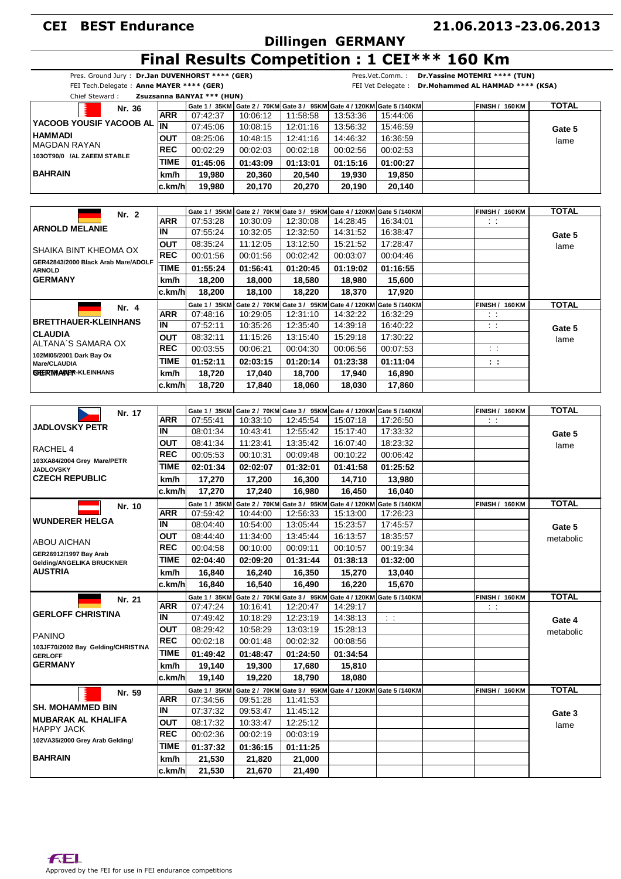### **Dillingen GERMANY**

### **21.06.2013 23.06.2013 -**

|  | Final Results Competition : 1 CEI*** 160 Km |  |  |
|--|---------------------------------------------|--|--|

|                                                                                                                                |                | FEI Tech.Delegate: Anne MAYER **** (GER) |                                                          |                  |                  |                                                                                 | FEI Vet Delegate : Dr. Mohammed AL HAMMAD **** (KSA) |              |
|--------------------------------------------------------------------------------------------------------------------------------|----------------|------------------------------------------|----------------------------------------------------------|------------------|------------------|---------------------------------------------------------------------------------|------------------------------------------------------|--------------|
| Chief Steward:                                                                                                                 |                | Zsuzsanna BANYAI *** (HUN)               |                                                          |                  |                  | Gate 1 / 35KM Gate 2 / 70KM Gate 3 / 95KM Gate 4 / 120KM Gate 5 / 140KM         | <b>FINISH / 160 KM</b>                               | <b>TOTAL</b> |
| Nr. 36                                                                                                                         | ARR            | 07:42:37                                 | 10:06:12                                                 | 11:58:58         | 13:53:36         | 15:44:06                                                                        |                                                      |              |
| YACOOB YOUSIF YACOOB AL TIN                                                                                                    |                | 07:45:06                                 | 10:08:15                                                 | 12:01:16         | 13:56:32         | 15:46:59                                                                        |                                                      | Gate 5       |
| <b>HAMMADI</b>                                                                                                                 | <b>OUT</b>     | 08:25:06                                 | 10:48:15                                                 | 12:41:16         | 14:46:32         | 16:36:59                                                                        |                                                      |              |
| <b>MAGDAN RAYAN</b>                                                                                                            | <b>REC</b>     | 00:02:29                                 | 00:02:03                                                 | 00:02:18         | 00:02:56         | 00:02:53                                                                        |                                                      | lame         |
| 103OT90/0 /AL ZAEEM STABLE                                                                                                     | TIME           | 01:45:06                                 | 01:43:09                                                 | 01:13:01         | 01:15:16         | 01:00:27                                                                        |                                                      |              |
| <b>BAHRAIN</b>                                                                                                                 | km/h           | 19,980                                   |                                                          |                  |                  |                                                                                 |                                                      |              |
|                                                                                                                                | ∣c.km/h        | 19.980                                   | 20,360<br>20,170                                         | 20,540<br>20.270 | 19,930<br>20,190 | 19,850<br>20,140                                                                |                                                      |              |
|                                                                                                                                |                |                                          |                                                          |                  |                  |                                                                                 |                                                      |              |
|                                                                                                                                |                | Gate 1 / 35KM                            |                                                          |                  |                  | Gate 2 / 70KM Gate 3 / 95KM Gate 4 / 120KM Gate 5 /140KM                        | <b>FINISH / 160 KM</b>                               | <b>TOTAL</b> |
| Nr. 2                                                                                                                          | <b>ARR</b>     | 07:53:28                                 | 10:30:09                                                 | 12:30:08         | 14:28:45         | 16:34:01                                                                        | $\sim$ 1                                             |              |
| <b>ARNOLD MELANIE</b>                                                                                                          | ΙN             | 07:55:24                                 | 10:32:05                                                 | 12:32:50         | 14:31:52         | 16:38:47                                                                        |                                                      | Gate 5       |
|                                                                                                                                | <b>OUT</b>     | 08:35:24                                 | 11:12:05                                                 | 13:12:50         | 15:21:52         | 17:28:47                                                                        |                                                      | lame         |
| SHAIKA BINT KHEOMA OX                                                                                                          | REC            | 00:01:56                                 | 00:01:56                                                 | 00:02:42         | 00:03:07         | 00:04:46                                                                        |                                                      |              |
| GER42843/2000 Black Arab Mare/ADOLF                                                                                            | <b>TIME</b>    | 01:55:24                                 | 01:56:41                                                 | 01:20:45         | 01:19:02         | 01:16:55                                                                        |                                                      |              |
| <b>ARNOLD</b><br><b>GERMANY</b>                                                                                                | km/h           | 18,200                                   | 18,000                                                   | 18,580           | 18.980           | 15,600                                                                          |                                                      |              |
|                                                                                                                                | ∣c.km/h        | 18,200                                   | 18.100                                                   | 18,220           | 18,370           | 17,920                                                                          |                                                      |              |
|                                                                                                                                |                | Gate 1 / 35KM                            |                                                          |                  |                  | Gate 2 / 70KM Gate 3 / 95KM Gate 4 / 120KM Gate 5 /140KM                        | <b>FINISH / 160 KM</b>                               | <b>TOTAL</b> |
| Nr. 4                                                                                                                          | <b>ARR</b>     | 07:48:16                                 | 10:29:05                                                 | 12:31:10         | 14:32:22         | 16:32:29                                                                        | $\sim$ 1                                             |              |
| <b>BRETTHAUER-KLEINHANS</b>                                                                                                    | IN             | 07:52:11                                 | 10:35:26                                                 | 12:35:40         | 14:39:18         | 16:40:22                                                                        | $\sim$ 1                                             | Gate 5       |
| <b>CLAUDIA</b>                                                                                                                 | ΟUΤ            | 08:32:11                                 | 11:15:26                                                 | 13:15:40         | 15:29:18         | 17:30:22                                                                        |                                                      |              |
| ALTANA'S SAMARA OX                                                                                                             | <b>REC</b>     | 00:03:55                                 | 00:06:21                                                 | 00:04:30         | 00:06:56         | 00:07:53                                                                        | $\sim$ 1                                             | lame         |
| 102MI05/2001 Dark Bay Ox                                                                                                       | TIME           | 01:52:11                                 | 02:03:15                                                 | 01:20:14         | 01:23:38         | 01:11:04                                                                        |                                                      |              |
| Mare/CLAUDIA<br><b>GHERMANY</b> KLEINHANS                                                                                      | km/h           | 18,720                                   | 17.040                                                   | 18,700           | 17,940           | 16,890                                                                          | 14                                                   |              |
|                                                                                                                                | ∣c.km/h        | 18,720                                   |                                                          |                  | 18,030           | 17,860                                                                          |                                                      |              |
|                                                                                                                                |                |                                          | 17,840                                                   | 18,060           |                  |                                                                                 |                                                      |              |
|                                                                                                                                |                |                                          |                                                          |                  |                  | Gate 1 / 35KM   Gate 2 / 70KM   Gate 3 / 95KM   Gate 4 / 120KM   Gate 5 / 140KM | <b>FINISH / 160 KM</b>                               | <b>TOTAL</b> |
| Nr. 17<br><b>JADLOVSKY PETR</b>                                                                                                | <b>ARR</b>     | 07:55:41                                 | 10:33:10                                                 | 12:45:54         | 15:07:18         | 17:26:50                                                                        | $\sim 10$                                            |              |
|                                                                                                                                | IN             | 08:01:34                                 | 10:43:41                                                 | 12:55:42         | 15:17:40         | 17:33:32                                                                        |                                                      | Gate 5       |
|                                                                                                                                | ΟUΤ            | 08:41:34                                 | 11:23:41                                                 | 13:35:42         | 16:07:40         | 18:23:32                                                                        |                                                      |              |
| RACHEL 4                                                                                                                       | <b>REC</b>     | 00:05:53                                 | 00:10:31                                                 | 00:09:48         | 00:10:22         | 00:06:42                                                                        |                                                      | lame         |
| 103XA84/2004 Grey Mare/PETR                                                                                                    | <b>TIME</b>    | 02:01:34                                 | 02:02:07                                                 | 01:32:01         | 01:41:58         | 01:25:52                                                                        |                                                      |              |
| <b>JADLOVSKY</b><br><b>CZECH REPUBLIC</b>                                                                                      | km/h           | 17,270                                   | 17,200                                                   | 16,300           | 14,710           | 13,980                                                                          |                                                      |              |
|                                                                                                                                | c.km/h         | 17,270                                   | 17,240                                                   | 16,980           | 16,450           | 16,040                                                                          |                                                      |              |
|                                                                                                                                |                | Gate 1 / 35KM                            |                                                          |                  |                  | Gate 2 / 70KM Gate 3 / 95KM Gate 4 / 120KM Gate 5 /140KM                        | <b>FINISH / 160 KM</b>                               | <b>TOTAL</b> |
| Nr. 10                                                                                                                         | ARR            | 07:59:42                                 | 10:44:00                                                 | 12:56:33         | 15:13:00         | 17:26:23                                                                        |                                                      |              |
| <b>WUNDERER HELGA</b>                                                                                                          | IN             | 08:04:40                                 | 10:54:00                                                 | 13:05:44         | 15:23:57         | 17:45:57                                                                        |                                                      | Gate 5       |
|                                                                                                                                | <b>OUT</b>     | 08:44:40                                 | 11:34:00                                                 | 13:45:44         | 16:13:57         | 18:35:57                                                                        |                                                      | metabolic    |
| <b>ABOU AICHAN</b>                                                                                                             | REC            | 00:04:58                                 | 00:10:00                                                 | 00:09:11         | 00:10:57         | 00:19:34                                                                        |                                                      |              |
| GER26912/1997 Bay Arab                                                                                                         | TIME           | 02:04:40                                 | 02:09:20                                                 | 01:31:44         | 01:38:13         | 01:32:00                                                                        |                                                      |              |
| Gelding/ANGELIKA BRUCKNER<br><b>AUSTRIA</b>                                                                                    | km/h           | 16,840                                   | 16,240                                                   | 16,350           | 15,270           | 13,040                                                                          |                                                      |              |
|                                                                                                                                | c.km/h         | 16,840                                   | 16,540                                                   | 16,490           | 16,220           | 15.670                                                                          |                                                      |              |
|                                                                                                                                |                | Gate 1 / 35KM                            |                                                          |                  |                  | Gate 2 / 70KM Gate 3 / 95KM Gate 4 / 120KM Gate 5 /140KM                        | <b>FINISH / 160 KM</b>                               | <b>TOTAL</b> |
| Nr. 21                                                                                                                         | <b>ARR</b>     | 07:47:24                                 | 10:16:41                                                 | 12:20:47         | 14:29:17         |                                                                                 | $\sim$ 1                                             |              |
| <b>GERLOFF CHRISTINA</b>                                                                                                       | IN             | 07:49:42                                 | 10:18:29                                                 | 12:23:19         | 14:38:13         | $\sim$ $\sim$                                                                   |                                                      | Gate 4       |
|                                                                                                                                | <b>OUT</b>     | 08:29:42                                 | 10:58:29                                                 | 13:03:19         | 15:28:13         |                                                                                 |                                                      | metabolic    |
| <b>PANINO</b>                                                                                                                  | <b>REC</b>     | 00:02:18                                 | 00:01:48                                                 | 00:02:32         | 00:08:56         |                                                                                 |                                                      |              |
| 103JF70/2002 Bay Gelding/CHRISTINA<br><b>GERLOFF</b>                                                                           | <b>TIME</b>    | 01:49:42                                 | 01:48:47                                                 | 01:24:50         | 01:34:54         |                                                                                 |                                                      |              |
| <b>GERMANY</b>                                                                                                                 | km/h           | 19,140                                   | 19,300                                                   | 17,680           | 15,810           |                                                                                 |                                                      |              |
|                                                                                                                                | c.km/h         | 19,140                                   | 19,220                                                   | 18,790           | 18,080           |                                                                                 |                                                      |              |
|                                                                                                                                |                |                                          |                                                          |                  |                  |                                                                                 | <b>FINISH / 160 KM</b>                               | <b>TOTAL</b> |
|                                                                                                                                |                |                                          |                                                          |                  |                  |                                                                                 |                                                      |              |
| Nr. 59                                                                                                                         | <b>ARR</b>     | Gate 1 / 35KM                            | Gate 2 / 70KM Gate 3 / 95KM Gate 4 / 120KM Gate 5 /140KM |                  |                  |                                                                                 |                                                      |              |
|                                                                                                                                | IN             | 07:34:56                                 | 09:51:28                                                 | 11:41:53         |                  |                                                                                 |                                                      |              |
|                                                                                                                                |                | 07:37:32                                 | 09:53:47                                                 | 11:45:12         |                  |                                                                                 |                                                      | Gate 3       |
|                                                                                                                                | <b>OUT</b>     | 08:17:32                                 | 10:33:47                                                 | 12:25:12         |                  |                                                                                 |                                                      | lame         |
|                                                                                                                                | <b>REC</b>     | 00:02:36                                 | 00:02:19                                                 | 00:03:19         |                  |                                                                                 |                                                      |              |
|                                                                                                                                | <b>TIME</b>    | 01:37:32                                 | 01:36:15                                                 | 01:11:25         |                  |                                                                                 |                                                      |              |
| <b>SH. MOHAMMED BIN</b><br><b>MUBARAK AL KHALIFA</b><br><b>HAPPY JACK</b><br>102VA35/2000 Grey Arab Gelding/<br><b>BAHRAIN</b> | km/h<br>c.km/h | 21,530<br>21,530                         | 21,820<br>21,670                                         | 21,000<br>21,490 |                  |                                                                                 |                                                      |              |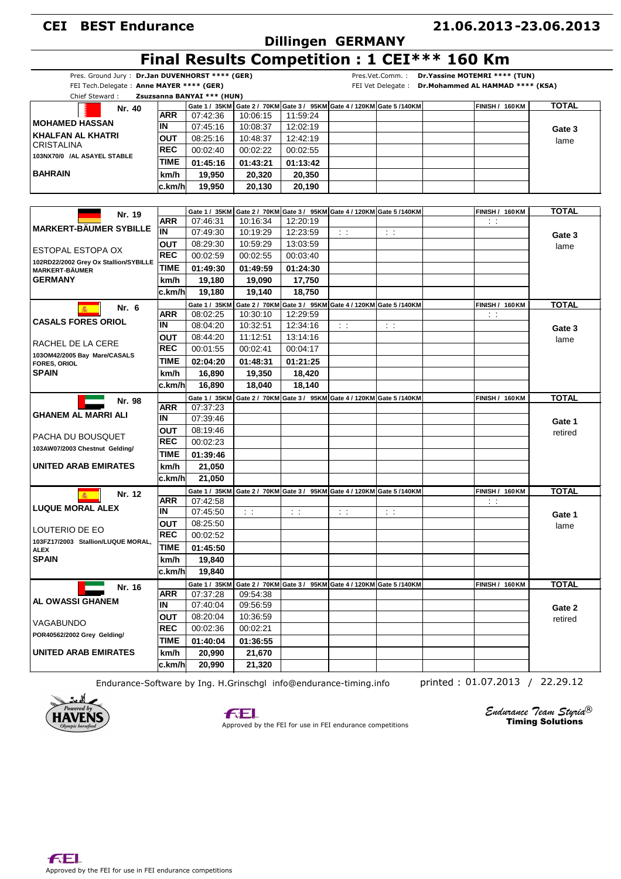### **Dillingen GERMANY**

#### **21.06.2013 23.06.2013 -**

### **Final Results Competition : 1 CEI\*\*\* 160 Km**

| Pres. Ground Jury: Dr.Jan DUVENHORST **** (GER) |                   |                            |           |           |                                                                         |             | Pres.Vet.Comm.: Dr.Yassine MOTEMRI **** (TUN)        |              |
|-------------------------------------------------|-------------------|----------------------------|-----------|-----------|-------------------------------------------------------------------------|-------------|------------------------------------------------------|--------------|
| FEI Tech.Delegate: Anne MAYER **** (GER)        |                   |                            |           |           |                                                                         |             | FEI Vet Delegate : Dr. Mohammed AL HAMMAD **** (KSA) |              |
| Chief Steward:                                  |                   | Zsuzsanna BANYAI *** (HUN) |           |           |                                                                         |             |                                                      |              |
|                                                 |                   |                            |           |           | Gate 1 / 35KM Gate 2 / 70KM Gate 3 / 95KM Gate 4 / 120KM Gate 5 / 140KM |             | <b>FINISH / 160 KM</b>                               | <b>TOTAL</b> |
| Nr. 40                                          | ARR               | 07:42:36                   | 10:06:15  | 11:59:24  |                                                                         |             |                                                      |              |
| <b>MOHAMED HASSAN</b>                           | IN                | 07:45:16                   | 10:08:37  | 12:02:19  |                                                                         |             |                                                      |              |
| <b>KHALFAN AL KHATRI</b>                        |                   | 08:25:16                   | 10:48:37  | 12:42:19  |                                                                         |             |                                                      | Gate 3       |
| CRISTALINA                                      | OUT<br><b>REC</b> |                            |           |           |                                                                         |             |                                                      | lame         |
| 103NX70/0 /AL ASAYEL STABLE                     |                   | 00:02:40                   | 00:02:22  | 00:02:55  |                                                                         |             |                                                      |              |
|                                                 | TIME              | 01:45:16                   | 01:43:21  | 01:13:42  |                                                                         |             |                                                      |              |
| <b>BAHRAIN</b>                                  | km/h              | 19.950                     | 20,320    | 20,350    |                                                                         |             |                                                      |              |
|                                                 | c.km/h            | 19,950                     | 20,130    | 20,190    |                                                                         |             |                                                      |              |
|                                                 |                   |                            |           |           |                                                                         |             |                                                      |              |
|                                                 |                   | Gate 1 / 35KM              |           |           | Gate 2 / 70KM Gate 3 / 95KM Gate 4 / 120KM Gate 5 /140KM                |             | FINISH / 160 KM                                      | TOTAL        |
| Nr. 19                                          | <b>ARR</b>        | 07:46:31                   | 10:16:34  | 12:20:19  |                                                                         |             | $\sim$                                               |              |
| <b>MARKERT-BÄUMER SYBILLE</b>                   | İIN               | 07:49:30                   | 10:19:29  | 12:23:59  | $\sim 1$                                                                | $\pm$ $\pm$ |                                                      | Gate 3       |
|                                                 | OUT               | 08:29:30                   | 10:59:29  | 13:03:59  |                                                                         |             |                                                      | lame         |
| ESTOPAL ESTOPA OX                               | <b>REC</b>        | 00:02:59                   | 00:02:55  | 00:03:40  |                                                                         |             |                                                      |              |
| 102RD22/2002 Grey Ox Stallion/SYBILLE           | <b>TIME</b>       |                            |           |           |                                                                         |             |                                                      |              |
| <b>MARKERT-BÄUMER</b>                           |                   | 01:49:30                   | 01:49:59  | 01:24:30  |                                                                         |             |                                                      |              |
| <b>GERMANY</b>                                  | km/h              | 19,180                     | 19,090    | 17,750    |                                                                         |             |                                                      |              |
|                                                 | lc.km/hl          | 19,180                     | 19,140    | 18,750    |                                                                         |             |                                                      |              |
| Nr. 6                                           |                   | Gate 1 / 35KM              |           |           | Gate 2 / 70KM Gate 3 / 95KM Gate 4 / 120KM Gate 5 /140KM                |             | <b>FINISH / 160 KM</b>                               | <b>TOTAL</b> |
|                                                 | <b>ARR</b>        | 08:02:25                   | 10:30:10  | 12:29:59  |                                                                         |             | $\mathcal{L} \subset \mathcal{L}$                    |              |
| <b>CASALS FORES ORIOL</b>                       | ΙN                | 08:04:20                   | 10:32:51  | 12:34:16  | $\sim 10$                                                               | $\sim 10$   |                                                      | Gate 3       |
|                                                 | ΟUΤ               | 08:44:20                   | 11:12:51  | 13:14:16  |                                                                         |             |                                                      | lame         |
| RACHEL DE LA CERE                               | <b>REC</b>        | 00:01:55                   | 00:02:41  | 00:04:17  |                                                                         |             |                                                      |              |
| 103OM42/2005 Bay Mare/CASALS                    | TIME              | 02:04:20                   | 01:48:31  | 01:21:25  |                                                                         |             |                                                      |              |
| <b>FORES, ORIOL</b><br><b>SPAIN</b>             | km/h              | 16,890                     | 19,350    | 18,420    |                                                                         |             |                                                      |              |
|                                                 |                   |                            |           |           |                                                                         |             |                                                      |              |
|                                                 | c.km/h            | 16,890                     | 18,040    | 18,140    |                                                                         |             |                                                      |              |
| Nr. 98                                          |                   | Gate 1 / 35KM              |           |           | Gate 2 / 70KM Gate 3 / 95KM Gate 4 / 120KM Gate 5 /140KM                |             | <b>FINISH / 160 KM</b>                               | <b>TOTAL</b> |
| <b>GHANEM AL MARRI ALI</b>                      | <b>ARR</b>        | 07:37:23                   |           |           |                                                                         |             |                                                      |              |
|                                                 | IN                | 07:39:46                   |           |           |                                                                         |             |                                                      | Gate 1       |
| PACHA DU BOUSQUET                               | ΟUΤ               | 08:19:46                   |           |           |                                                                         |             |                                                      | retired      |
|                                                 | <b>REC</b>        | 00:02:23                   |           |           |                                                                         |             |                                                      |              |
| 103AW07/2003 Chestnut Gelding/                  | <b>TIME</b>       | 01:39:46                   |           |           |                                                                         |             |                                                      |              |
| <b>UNITED ARAB EMIRATES</b>                     | km/h              | 21,050                     |           |           |                                                                         |             |                                                      |              |
|                                                 | c.km/h            | 21,050                     |           |           |                                                                         |             |                                                      |              |
|                                                 |                   |                            |           |           | Gate 2 / 70KM Gate 3 / 95KM Gate 4 / 120KM Gate 5 /140KM                |             | FINISH / 160KM                                       | <b>TOTAL</b> |
| Nr. 12                                          | <b>ARR</b>        | Gate 1 / 35KM<br>07:42:58  |           |           |                                                                         |             | $\sim 10$                                            |              |
| <b>LUQUE MORAL ALEX</b>                         | IN                | 07:45:50                   | $\sim 10$ | $\sim 10$ | $\sim 10$                                                               | $\sim 10$   |                                                      |              |
|                                                 |                   | 08:25:50                   |           |           |                                                                         |             |                                                      | Gate 1       |
| LOUTERIO DE EO                                  | OUT<br>REC        |                            |           |           |                                                                         |             |                                                      | lame         |
| 103FZ17/2003 Stallion/LUQUE MORAL,              |                   | 00:02:52                   |           |           |                                                                         |             |                                                      |              |
| <b>ALEX</b>                                     | TIME              | 01:45:50                   |           |           |                                                                         |             |                                                      |              |
| <b>SPAIN</b>                                    | km/h              | 19,840                     |           |           |                                                                         |             |                                                      |              |
|                                                 | c.km/h            | 19,840                     |           |           |                                                                         |             |                                                      |              |
| Nr. 16                                          |                   | Gate 1 / 35KM              |           |           | Gate 2 / 70KM Gate 3 / 95KM Gate 4 / 120KM Gate 5 /140KM                |             | <b>FINISH / 160 KM</b>                               | <b>TOTAL</b> |
|                                                 | <b>ARR</b>        | 07:37:28                   | 09:54:38  |           |                                                                         |             |                                                      |              |
| AL OWASSI GHANEM                                | IN.               | 07:40:04                   | 09:56:59  |           |                                                                         |             |                                                      | Gate 2       |
|                                                 | OUT               | 08:20:04                   | 10:36:59  |           |                                                                         |             |                                                      |              |
| VAGABUNDO                                       | <b>REC</b>        | 00:02:36                   | 00:02:21  |           |                                                                         |             |                                                      | retired      |
| POR40562/2002 Grey Gelding/                     |                   |                            |           |           |                                                                         |             |                                                      |              |
|                                                 | <b>TIME</b>       | 01:40:04                   | 01:36:55  |           |                                                                         |             |                                                      |              |
| <b>UNITED ARAB EMIRATES</b>                     | km/h              | 20,990                     | 21,670    |           |                                                                         |             |                                                      |              |
|                                                 | ∣c.km/h           | 20,990                     | 21,320    |           |                                                                         |             |                                                      |              |
|                                                 |                   |                            |           |           |                                                                         |             |                                                      |              |

Endurance-Software by Ing. H.Grinschgl info@endurance-timing.info printed : 01.07.2013 / 22.29.12







Approved by the FEI for use in FEI endurance competitions

*Endurance Team Styria*  Timing Solutions ®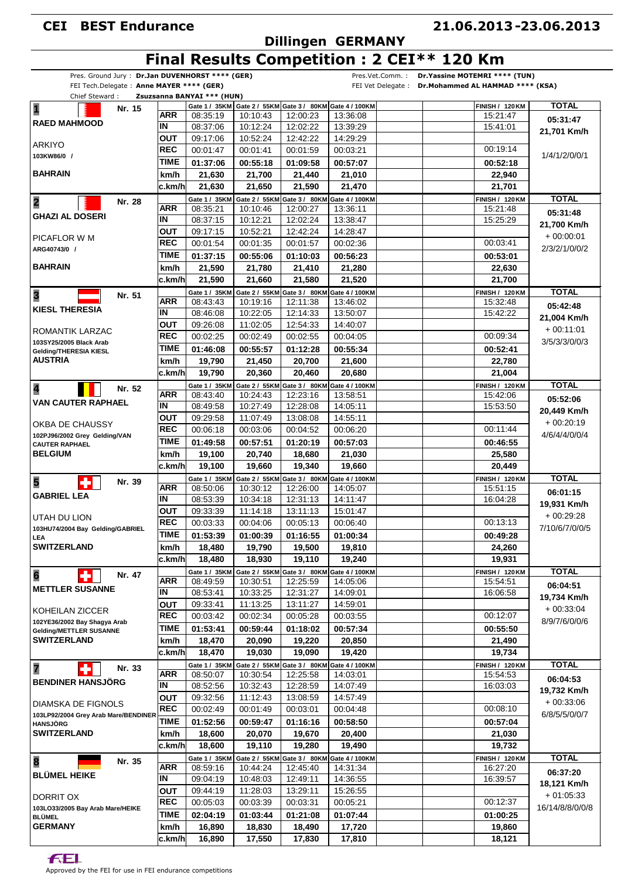# **Dillingen GERMANY**

#### **21.06.2013 23.06.2013 -**

# **Final Results Competition : 2 CEI\*\* 120 Km**

| Pres. Ground Jury: Dr.Jan DUVENHORST **** (GER)         |             |                            |          |                                                          | Pres.Vet.Comm.: | Dr. Yassine MOTEMRI **** (TUN)                      |                 |
|---------------------------------------------------------|-------------|----------------------------|----------|----------------------------------------------------------|-----------------|-----------------------------------------------------|-----------------|
| FEI Tech.Delegate: Anne MAYER **** (GER)                |             |                            |          |                                                          |                 | FEI Vet Delegate: Dr. Mohammed AL HAMMAD **** (KSA) |                 |
| Chief Steward:                                          |             | Zsuzsanna BANYAI *** (HUN) |          |                                                          |                 |                                                     |                 |
| $\overline{\mathbf{1}}$<br>Nr. 15                       |             |                            |          | Gate 1 / 35KM Gate 2 / 55KM Gate 3 / 80KM Gate 4 / 100KM |                 | <b>FINISH / 120 KM</b>                              | <b>TOTAL</b>    |
| <b>RAED MAHMOOD</b>                                     | <b>ARR</b>  | 08:35:19                   | 10:10:43 | 12:00:23                                                 | 13:36:08        | 15:21:47                                            | 05:31:47        |
|                                                         | IN          | 08:37:06                   | 10:12:24 | 12:02:22                                                 | 13:39:29        | 15:41:01                                            | 21,701 Km/h     |
| <b>ARKIYO</b>                                           | <b>OUT</b>  | 09:17:06                   | 10:52:24 | 12:42:22                                                 | 14:29:29        |                                                     |                 |
| 103KW86/0 /                                             | <b>REC</b>  | 00:01:47                   | 00:01:41 | 00:01:59                                                 | 00:03:21        | 00:19:14                                            | 1/4/1/2/0/0/1   |
|                                                         | TIME        | 01:37:06                   | 00:55:18 | 01:09:58                                                 | 00:57:07        | 00:52:18                                            |                 |
| <b>BAHRAIN</b>                                          | km/h        | 21,630                     | 21,700   | 21,440                                                   | 21,010          | 22,940                                              |                 |
|                                                         | c.km/h      | 21,630                     | 21,650   | 21,590                                                   | 21,470          | 21,701                                              |                 |
| $\overline{\mathbf{2}}$<br>Nr. 28                       |             | Gate 1 / 35KM              |          | Gate 2 / 55KM Gate 3 / 80KM Gate 4 / 100KM               |                 | <b>FINISH / 120 KM</b>                              | <b>TOTAL</b>    |
|                                                         | <b>ARR</b>  | 08:35:21                   | 10:10:46 | 12:00:27                                                 | 13:36:11        | 15:21:48                                            | 05:31:48        |
| <b>GHAZI AL DOSERI</b>                                  | IN          | 08:37:15                   | 10:12:21 | 12:02:24                                                 | 13:38:47        | 15:25:29                                            |                 |
|                                                         | <b>OUT</b>  | 09:17:15                   | 10:52:21 | 12:42:24                                                 | 14:28:47        |                                                     | 21,700 Km/h     |
| PICAFLOR W M                                            | <b>REC</b>  | 00:01:54                   | 00:01:35 | 00:01:57                                                 | 00:02:36        | 00:03:41                                            | $+00:00:01$     |
| ARG40743/0 /                                            | <b>TIME</b> | 01:37:15                   | 00:55:06 | 01:10:03                                                 | 00:56:23        | 00:53:01                                            | 2/3/2/1/0/0/2   |
| <b>BAHRAIN</b>                                          | km/h        | 21,590                     | 21,780   | 21,410                                                   | 21,280          | 22,630                                              |                 |
|                                                         |             |                            |          |                                                          |                 |                                                     |                 |
|                                                         | c.km/h      | 21,590                     | 21,660   | 21,580                                                   | 21,520          | 21,700                                              |                 |
| 3<br>Nr. 51                                             |             | Gate 1 / 35KM              |          | Gate 2 / 55KM Gate 3 / 80KM Gate 4 / 100KM               |                 | <b>FINISH / 120 KM</b>                              | <b>TOTAL</b>    |
| <b>KIESL THERESIA</b>                                   | ARR         | 08:43:43                   | 10:19:16 | 12:11:38                                                 | 13:46:02        | 15:32:48                                            | 05:42:48        |
|                                                         | IN          | 08:46:08                   | 10:22:05 | 12:14:33                                                 | 13:50:07        | 15:42:22                                            | 21,004 Km/h     |
| ROMANTIK LARZAC                                         | OUT         | 09:26:08                   | 11:02:05 | 12:54:33                                                 | 14:40:07        |                                                     | $+00:11:01$     |
| 103SY25/2005 Black Arab                                 | <b>REC</b>  | 00:02:25                   | 00:02:49 | 00:02:55                                                 | 00:04:05        | 00:09:34                                            | 3/5/3/3/0/0/3   |
| Gelding/THERESIA KIESL                                  | <b>TIME</b> | 01:46:08                   | 00:55:57 | 01:12:28                                                 | 00:55:34        | 00:52:41                                            |                 |
| <b>AUSTRIA</b>                                          | km/h        | 19,790                     | 21,450   | 20,700                                                   | 21,600          | 22,780                                              |                 |
|                                                         | ∣c.km/h     | 19,790                     | 20,360   | 20,460                                                   | 20,680          | 21,004                                              |                 |
| Nr. 52                                                  |             |                            |          | Gate 1 / 35KM Gate 2 / 55KM Gate 3 / 80KM Gate 4 / 100KM |                 | <b>FINISH / 120 KM</b>                              | <b>TOTAL</b>    |
| 4                                                       | <b>ARR</b>  | 08:43:40                   | 10:24:43 | 12:23:16                                                 | 13:58:51        | 15:42:06                                            | 05:52:06        |
| <b>VAN CAUTER RAPHAEL</b>                               | IN          | 08:49:58                   | 10:27:49 | 12:28:08                                                 | 14:05:11        | 15:53:50                                            |                 |
|                                                         | OUT         | 09:29:58                   | 11:07:49 | 13:08:08                                                 | 14:55:11        |                                                     | 20,449 Km/h     |
| OKBA DE CHAUSSY                                         | <b>REC</b>  | 00:06:18                   | 00:03:06 | 00:04:52                                                 | 00:06:20        | 00:11:44                                            | $+00:20:19$     |
| 102PJ96/2002 Grey Gelding/VAN                           | <b>TIME</b> | 01:49:58                   | 00:57:51 | 01:20:19                                                 | 00:57:03        | 00:46:55                                            | 4/6/4/4/0/0/4   |
| <b>CAUTER RAPHAEL</b><br><b>BELGIUM</b>                 | km/h        | 19,100                     | 20,740   | 18,680                                                   | 21,030          | 25,580                                              |                 |
|                                                         | c.km/h      | 19,100                     | 19,660   | 19,340                                                   | 19,660          | 20,449                                              |                 |
|                                                         |             |                            |          |                                                          |                 |                                                     |                 |
| 5<br>Nr. 39                                             | ARR         | Gate 1 / 35KM              |          | Gate 2 / 55KM Gate 3 / 80KM Gate 4 / 100KM               |                 | <b>FINISH / 120 KM</b>                              | <b>TOTAL</b>    |
| <b>GABRIEL LEA</b>                                      | IN          | 08:50:06                   | 10:30:12 | 12:26:00                                                 | 14:05:07        | 15:51:15                                            | 06:01:15        |
|                                                         |             | 08:53:39                   | 10:34:18 | 12:31:13                                                 | 14:11:47        | 16:04:28                                            | 19,931 Km/h     |
| UTAH DU LION                                            | <b>OUT</b>  | 09:33:39                   | 11:14:18 | 13:11:13                                                 | 15:01:47        |                                                     | $+00:29:28$     |
| 103HU74/2004 Bay Gelding/GABRIEL                        | <b>REC</b>  | 00:03:33                   | 00:04:06 | 00:05:13                                                 | 00:06:40        | 00:13:13                                            | 7/10/6/7/0/0/5  |
| LEA                                                     | <b>TIME</b> | 01:53:39                   | 01:00:39 | 01:16:55                                                 | 01:00:34        | 00:49:28                                            |                 |
| <b>SWITZERLAND</b>                                      | km/h        | 18,480                     | 19,790   | 19,500                                                   | 19,810          | 24,260                                              |                 |
|                                                         | c.km/h      | 18,480                     | 18,930   | 19,110                                                   | 19,240          | 19,931                                              |                 |
| $6\phantom{a}$<br>Nr. 47                                |             | Gate 1 / 35KM              |          | Gate 2 / 55KM Gate 3 / 80KM Gate 4 / 100KM               |                 | <b>FINISH / 120 KM</b>                              | <b>TOTAL</b>    |
|                                                         | ARR         | 08:49:59                   | 10:30:51 | 12:25:59                                                 | 14:05:06        | 15:54:51                                            | 06:04:51        |
| <b>METTLER SUSANNE</b>                                  | IN          | 08:53:41                   | 10:33:25 | 12:31:27                                                 | 14:09:01        | 16:06:58                                            | 19,734 Km/h     |
|                                                         | <b>OUT</b>  | 09:33:41                   | 11:13:25 | 13:11:27                                                 | 14:59:01        |                                                     | $+00.33.04$     |
| KOHEILAN ZICCER                                         | <b>REC</b>  | 00:03:42                   | 00:02:34 | 00:05:28                                                 | 00:03:55        | 00:12:07                                            |                 |
| 102YE36/2002 Bay Shagya Arab<br>Gelding/METTLER SUSANNE | TIME        | 01:53:41                   | 00:59:44 | 01:18:02                                                 | 00:57:34        | 00:55:50                                            | 8/9/7/6/0/0/6   |
| <b>SWITZERLAND</b>                                      | km/h        | 18,470                     | 20,090   | 19,220                                                   | 20,850          | 21,490                                              |                 |
|                                                         | c.km/h      | 18,470                     | 19,030   | 19,090                                                   | 19,420          | 19,734                                              |                 |
|                                                         |             |                            |          |                                                          |                 |                                                     |                 |
| $\overline{7}$<br>Nr. 33                                | <b>ARR</b>  | Gate 1 / 35KM<br>08:50:07  | 10:30:54 | Gate 2 / 55KM Gate 3 / 80KM Gate 4 / 100KM<br>12:25:58   | 14:03:01        | <b>FINISH / 120 KM</b><br>15:54:53                  | <b>TOTAL</b>    |
| <b>BENDINER HANSJÖRG</b>                                | IN          | 08:52:56                   | 10:32:43 | 12:28:59                                                 | 14:07:49        |                                                     | 06:04:53        |
|                                                         |             |                            |          |                                                          |                 | 16:03:03                                            | 19,732 Km/h     |
| DIAMSKA DE FIGNOLS                                      | ΟUΤ         | 09:32:56                   | 11:12:43 | 13:08:59                                                 | 14:57:49        |                                                     | $+00:33:06$     |
| 103LP92/2004 Grey Arab Mare/BENDINER                    | <b>REC</b>  | 00:02:49                   | 00:01:49 | 00:03:01                                                 | 00:04:48        | 00:08:10                                            | 6/8/5/5/0/0/7   |
| <b>HANSJÖRG</b>                                         | <b>TIME</b> | 01:52:56                   | 00:59:47 | 01:16:16                                                 | 00:58:50        | 00:57:04                                            |                 |
| <b>SWITZERLAND</b>                                      | km/h        | 18,600                     | 20,070   | 19,670                                                   | 20,400          | 21,030                                              |                 |
|                                                         | c.km/h      | 18,600                     | 19,110   | 19,280                                                   | 19,490          | 19,732                                              |                 |
| 8<br>Nr. 35                                             |             |                            |          | Gate 1 / 35KM Gate 2 / 55KM Gate 3 / 80KM Gate 4 / 100KM |                 | <b>FINISH / 120 KM</b>                              | <b>TOTAL</b>    |
|                                                         | ARR         | 08:59:16                   | 10:44:24 | 12:45:40                                                 | 14:31:34        | 16:27:20                                            | 06:37:20        |
| <b>BLÜMEL HEIKE</b>                                     | IN          | 09:04:19                   | 10:48:03 | 12:49:11                                                 | 14:36:55        | 16:39:57                                            | 18,121 Km/h     |
|                                                         | ΟUΤ         | 09:44:19                   | 11:28:03 | 13:29:11                                                 | 15:26:55        |                                                     | $+01:05:33$     |
| DORRIT OX                                               | <b>REC</b>  | 00:05:03                   | 00:03:39 | 00:03:31                                                 | 00:05:21        | 00:12:37                                            |                 |
| 103LO33/2005 Bay Arab Mare/HEIKE<br><b>BLÜMEL</b>       | <b>TIME</b> | 02:04:19                   | 01:03:44 | 01:21:08                                                 | 01:07:44        | 01:00:25                                            | 16/14/8/8/0/0/8 |
| <b>GERMANY</b>                                          | km/h        | 16,890                     | 18,830   | 18,490                                                   | 17,720          | 19,860                                              |                 |
|                                                         | ∣c.km/h     | 16,890                     | 17,550   | 17,830                                                   | 17,810          | 18,121                                              |                 |
|                                                         |             |                            |          |                                                          |                 |                                                     |                 |

**FEL**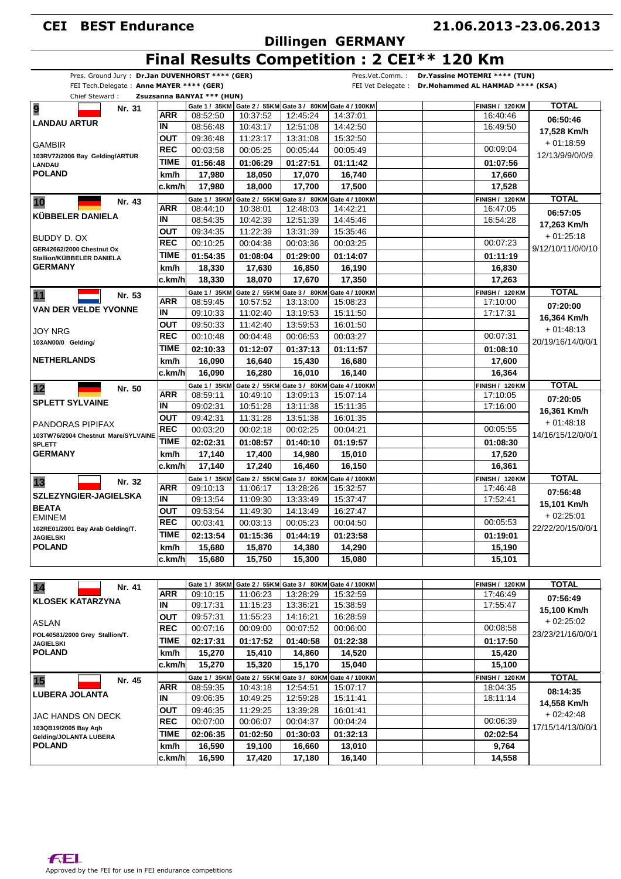# **Dillingen GERMANY**

#### **21.06.2013 23.06.2013 -**

# **Final Results Competition : 2 CEI\*\* 120 Km**

| Chief Steward:<br>9                                                                                                                                                                                                                                                              | Nr. 31 |                          | Zsuzsanna BANYAI *** (HUN) |          | Gate 1 / 35KM Gate 2 / 55KM Gate 3 / 80KM Gate 4 / 100KM |                                                          | <b>FINISH / 120 KM</b> | <b>TOTAL</b>                           |
|----------------------------------------------------------------------------------------------------------------------------------------------------------------------------------------------------------------------------------------------------------------------------------|--------|--------------------------|----------------------------|----------|----------------------------------------------------------|----------------------------------------------------------|------------------------|----------------------------------------|
|                                                                                                                                                                                                                                                                                  |        | <b>ARR</b>               | 08:52:50                   | 10:37:52 | 12:45:24                                                 | 14:37:01                                                 | 16:40:46               |                                        |
| <b>LANDAU ARTUR</b>                                                                                                                                                                                                                                                              |        | ΙN                       | 08:56:48                   | 10:43:17 | 12:51:08                                                 | 14:42:50                                                 | 16:49:50               | 06:50:46                               |
|                                                                                                                                                                                                                                                                                  |        | <b>OUT</b>               | 09:36:48                   | 11:23:17 | 13:31:08                                                 | 15:32:50                                                 |                        | 17,528 Km/h                            |
| <b>GAMBIR</b>                                                                                                                                                                                                                                                                    |        | <b>REC</b>               | 00:03:58                   | 00:05:25 | 00:05:44                                                 | 00:05:49                                                 | 00:09:04               | $+01:18:59$                            |
| 103RV72/2006 Bay Gelding/ARTUR<br>LANDAU                                                                                                                                                                                                                                         |        | <b>TIME</b>              | 01:56:48                   | 01:06:29 | 01:27:51                                                 | 01:11:42                                                 | 01:07:56               | 12/13/9/9/0/0/9                        |
| <b>POLAND</b>                                                                                                                                                                                                                                                                    |        | km/h                     | 17,980                     | 18,050   | 17,070                                                   | 16,740                                                   | 17,660                 |                                        |
|                                                                                                                                                                                                                                                                                  |        | c.km/h                   | 17,980                     | 18,000   | 17,700                                                   | 17,500                                                   | 17,528                 |                                        |
|                                                                                                                                                                                                                                                                                  |        |                          | Gate 1 / 35KM              |          | Gate 2 / 55KM Gate 3 / 80KM Gate 4 / 100KM               |                                                          | <b>FINISH / 120 KM</b> | <b>TOTAL</b>                           |
| 10                                                                                                                                                                                                                                                                               | Nr. 43 | <b>ARR</b>               | 08:44:10                   | 10:38:01 | 12:48:03                                                 | 14:42:21                                                 | 16:47:05               | 06:57:05                               |
| KÜBBELER DANIELA                                                                                                                                                                                                                                                                 |        | ΙN                       | 08:54:35                   | 10:42:39 | 12:51:39                                                 | 14:45:46                                                 | 16:54:28               | 17,263 Km/h                            |
|                                                                                                                                                                                                                                                                                  |        | OUT                      | 09:34:35                   | 11:22:39 | 13:31:39                                                 | 15:35:46                                                 |                        | $+01:25:18$                            |
| BUDDY D. OX                                                                                                                                                                                                                                                                      |        | <b>REC</b>               | 00:10:25                   | 00:04:38 | 00:03:36                                                 | 00:03:25                                                 | 00:07:23               | 9/12/10/11/0/0/10                      |
| GER42662/2000 Chestnut Ox<br>Stallion/KÜBBELER DANIELA                                                                                                                                                                                                                           |        | TIME                     | 01:54:35                   | 01:08:04 | 01:29:00                                                 | 01:14:07                                                 | 01:11:19               |                                        |
| <b>GERMANY</b>                                                                                                                                                                                                                                                                   |        | km/h                     | 18,330                     | 17,630   | 16,850                                                   | 16,190                                                   | 16,830                 |                                        |
|                                                                                                                                                                                                                                                                                  |        | c.km/h                   | 18,330                     | 18,070   | 17,670                                                   | 17,350                                                   | 17,263                 |                                        |
| 11                                                                                                                                                                                                                                                                               | Nr. 53 |                          | Gate 1 / 35KM              |          | Gate 2 / 55KM Gate 3 / 80KM Gate 4 / 100KM               |                                                          | <b>FINISH / 120 KM</b> | <b>TOTAL</b>                           |
|                                                                                                                                                                                                                                                                                  |        | <b>ARR</b>               | 08:59:45                   | 10:57:52 | 13:13:00                                                 | 15:08:23                                                 | 17:10:00               | 07:20:00                               |
| <b>VAN DER VELDE YVONNE</b>                                                                                                                                                                                                                                                      |        | IN                       | 09:10:33                   | 11:02:40 | 13:19:53                                                 | 15:11:50                                                 | 17:17:31               | 16,364 Km/h                            |
|                                                                                                                                                                                                                                                                                  |        | OUT                      | 09:50:33                   | 11:42:40 | 13:59:53                                                 | 16:01:50                                                 |                        | $+01:48:13$                            |
| JOY NRG                                                                                                                                                                                                                                                                          |        | <b>REC</b>               | 00:10:48                   | 00:04:48 | 00:06:53                                                 | 00:03:27                                                 | 00:07:31               | 20/19/16/14/0/0/1                      |
| 103AN00/0 Gelding/                                                                                                                                                                                                                                                               |        | <b>TIME</b>              | 02:10:33                   | 01:12:07 | 01:37:13                                                 | 01:11:57                                                 | 01:08:10               |                                        |
| <b>NETHERLANDS</b>                                                                                                                                                                                                                                                               |        | km/h                     | 16,090                     | 16,640   | 15,430                                                   | 16,680                                                   | 17,600                 |                                        |
|                                                                                                                                                                                                                                                                                  |        | c.km/h                   | 16,090                     | 16,280   | 16,010                                                   | 16,140                                                   | 16,364                 |                                        |
| 12                                                                                                                                                                                                                                                                               | Nr. 50 |                          | Gate 1 / 35KM              |          | Gate 2 / 55KM Gate 3 / 80KM Gate 4 / 100KM               |                                                          | <b>FINISH / 120 KM</b> | <b>TOTAL</b>                           |
|                                                                                                                                                                                                                                                                                  |        | ARR                      | 08:59:11                   | 10:49:10 | 13:09:13                                                 | 15:07:14                                                 | 17:10:05               | 07:20:05                               |
| <b>SPLETT SYLVAINE</b>                                                                                                                                                                                                                                                           |        | IN                       | 09:02:31                   | 10:51:28 | 13:11:38                                                 | 15:11:35                                                 | 17:16:00               | 16,361 Km/h                            |
| PANDORAS PIPIFAX                                                                                                                                                                                                                                                                 |        | OUT                      | 09:42:31                   | 11:31:28 | 13:51:38                                                 | 16:01:35                                                 |                        | $+01:48:18$                            |
| 103TW76/2004 Chestnut Mare/SYLVAINE                                                                                                                                                                                                                                              |        | <b>REC</b>               | 00:03:20                   | 00:02:18 | 00:02:25                                                 | 00:04:21                                                 | 00:05:55               | 14/16/15/12/0/0/1                      |
| <b>SPLETT</b>                                                                                                                                                                                                                                                                    |        | TIME                     | 02:02:31                   | 01:08:57 | 01:40:10                                                 | 01:19:57                                                 | 01:08:30               |                                        |
| <b>GERMANY</b>                                                                                                                                                                                                                                                                   |        | km/h                     | 17,140                     | 17,400   | 14,980                                                   | 15,010                                                   | 17,520                 |                                        |
|                                                                                                                                                                                                                                                                                  |        | c.km/h                   | 17,140                     | 17,240   | 16,460                                                   | 16,150                                                   | 16,361                 |                                        |
| 13                                                                                                                                                                                                                                                                               | Nr. 32 |                          | Gate 1 / 35KM              |          | Gate 2 / 55KM Gate 3 / 80KM Gate 4 / 100KM               |                                                          | <b>FINISH / 120 KM</b> | <b>TOTAL</b>                           |
|                                                                                                                                                                                                                                                                                  |        | ARR                      | 09:10:13                   | 11:06:17 | 13:28:26                                                 | 15:32:57                                                 | 17:46:48               | 07:56:48                               |
| SZLEZYNGIER-JAGIELSKA                                                                                                                                                                                                                                                            |        | $\overline{\mathsf{IN}}$ | 09:13:54                   | 11:09:30 | 13:33:49                                                 | 15:37:47                                                 | 17:52:41               | 15,101 Km/h                            |
| <b>BEATA</b><br><b>EMINEM</b>                                                                                                                                                                                                                                                    |        | OUT                      | 09:53:54                   | 11:49:30 | 14:13:49                                                 | 16:27:47                                                 |                        | $+02:25:01$                            |
| 102RE01/2001 Bay Arab Gelding/T.                                                                                                                                                                                                                                                 |        | <b>REC</b>               | 00:03:41                   | 00:03:13 | 00:05:23                                                 | 00:04:50                                                 | 00:05:53               | 22/22/20/15/0/0/1                      |
|                                                                                                                                                                                                                                                                                  |        | <b>TIME</b>              | 02:13:54                   | 01:15:36 | 01:44:19                                                 | 01:23:58                                                 | 01:19:01               |                                        |
|                                                                                                                                                                                                                                                                                  |        |                          |                            |          |                                                          |                                                          |                        |                                        |
|                                                                                                                                                                                                                                                                                  |        | km/h                     | 15,680                     | 15,870   | 14,380                                                   | 14,290                                                   | 15,190                 |                                        |
|                                                                                                                                                                                                                                                                                  |        | c.km/h                   | 15,680                     | 15,750   | 15,300                                                   | 15,080                                                   | 15,101                 |                                        |
|                                                                                                                                                                                                                                                                                  |        |                          |                            |          |                                                          |                                                          |                        |                                        |
|                                                                                                                                                                                                                                                                                  |        |                          | Gate 1 / 35KM              |          |                                                          | Gate 2 / 55KM Gate 3 / 80KM Gate 4 / 100KM               | <b>FINISH / 120 KM</b> | <b>TOTAL</b>                           |
|                                                                                                                                                                                                                                                                                  | Nr. 41 | <b>ARR</b>               | 09:10:15                   | 11:06:23 | 13:28:29                                                 | 15:32:59                                                 | 17:46:49               |                                        |
|                                                                                                                                                                                                                                                                                  |        | IN                       | 09:17:31                   | 11:15:23 | 13:36:21                                                 | 15:38:59                                                 | 17:55:47               | 07:56:49                               |
|                                                                                                                                                                                                                                                                                  |        | <b>OUT</b>               | 09:57:31                   | 11:55:23 | 14:16:21                                                 | 16:28:59                                                 |                        | 15,100 Km/h                            |
|                                                                                                                                                                                                                                                                                  |        | <b>REC</b>               | 00:07:16                   | 00:09:00 | 00:07:52                                                 | 00:06:00                                                 | 00:08:58               | $+02:25:02$                            |
|                                                                                                                                                                                                                                                                                  |        | <b>TIME</b>              | 02:17:31                   | 01:17:52 | 01:40:58                                                 | 01:22:38                                                 | 01:17:50               |                                        |
|                                                                                                                                                                                                                                                                                  |        | km/h                     | 15,270                     | 15,410   | 14,860                                                   | 14,520                                                   | 15,420                 |                                        |
|                                                                                                                                                                                                                                                                                  |        | c.km/h                   | 15,270                     | 15,320   | 15,170                                                   | 15,040                                                   | 15,100                 |                                        |
|                                                                                                                                                                                                                                                                                  |        |                          |                            |          |                                                          | Gate 1 / 35KM Gate 2 / 55KM Gate 3 / 80KM Gate 4 / 100KM | <b>FINISH / 120 KM</b> | <b>TOTAL</b>                           |
|                                                                                                                                                                                                                                                                                  | Nr. 45 | ARR                      | 08:59:35                   | 10:43:18 | 12:54:51                                                 | 15:07:17                                                 | 18:04:35               | 08:14:35                               |
|                                                                                                                                                                                                                                                                                  |        | IN                       | 09:06:35                   | 10:49:25 | 12:59:28                                                 | 15:11:41                                                 | 18:11:14               |                                        |
|                                                                                                                                                                                                                                                                                  |        | OUT                      | 09:46:35                   | 11:29:25 | 13:39:28                                                 | 16:01:41                                                 |                        | 14,558 Km/h                            |
|                                                                                                                                                                                                                                                                                  |        | <b>REC</b>               | 00:07:00                   | 00:06:07 | 00:04:37                                                 | 00:04:24                                                 | 00:06:39               | $+02:42:48$                            |
|                                                                                                                                                                                                                                                                                  |        | <b>TIME</b>              | 02:06:35                   | 01:02:50 | 01:30:03                                                 | 01:32:13                                                 | 02:02:54               | 23/23/21/16/0/0/1<br>17/15/14/13/0/0/1 |
| <b>JAGIELSKI</b><br><b>POLAND</b><br>14<br><b>KLOSEK KATARZYNA</b><br><b>ASLAN</b><br>POL40581/2000 Grey Stallion/T.<br><b>JAGIELSKI</b><br><b>POLAND</b><br>15<br><b>LUBERA JOLANTA</b><br>JAC HANDS ON DECK<br>103QB19/2005 Bay Aqh<br>Gelding/JOLANTA LUBERA<br><b>POLAND</b> |        | km/h                     | 16,590                     | 19,100   | 16,660                                                   | 13,010                                                   | 9,764                  |                                        |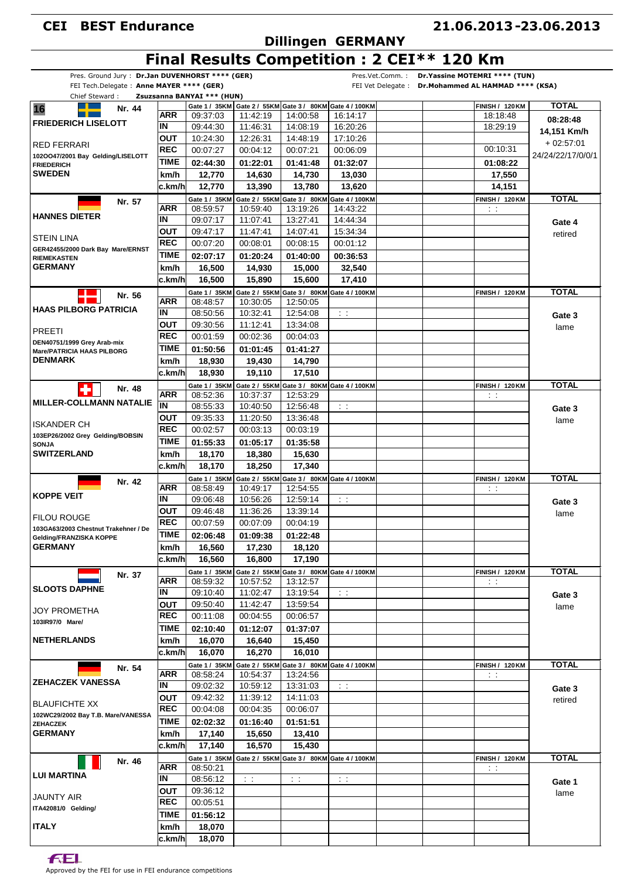# **Dillingen GERMANY**

#### **21.06.2013 23.06.2013 -**

# **Final Results Competition : 2 CEI\*\* 120 Km**

| Pres. Ground Jury: Dr.Jan DUVENHORST **** (GER) |             |                            |           |           | Pres.Vet.Comm. :                                               | Dr. Yassine MOTEMRI **** (TUN)                       |                   |
|-------------------------------------------------|-------------|----------------------------|-----------|-----------|----------------------------------------------------------------|------------------------------------------------------|-------------------|
| FEI Tech.Delegate: Anne MAYER **** (GER)        |             |                            |           |           |                                                                | FEI Vet Delegate : Dr. Mohammed AL HAMMAD **** (KSA) |                   |
| Chief Steward:                                  |             | Zsuzsanna BANYAI *** (HUN) |           |           |                                                                |                                                      |                   |
| 16<br>Nr. 44                                    |             |                            |           |           | Gate 1 / 35KM Gate 2 / 55KM Gate 3 / 80KM Gate 4 / 100KM       | <b>FINISH / 120 KM</b>                               | <b>TOTAL</b>      |
| <b>FRIEDERICH LISELOTT</b>                      | ARR         | 09:37:03                   | 11:42:19  | 14:00:58  | 16:14:17                                                       | 18:18:48                                             | 08:28:48          |
|                                                 | IN          | 09:44:30                   | 11:46:31  | 14:08:19  | 16:20:26                                                       | 18:29:19                                             | 14,151 Km/h       |
| RED FERRARI                                     | <b>OUT</b>  | 10:24:30                   | 12:26:31  | 14:48:19  | 17:10:26                                                       |                                                      | $+02:57:01$       |
| 102OO47/2001 Bay Gelding/LISELOTT               | <b>REC</b>  | 00:07:27                   | 00:04:12  | 00:07:21  | 00:06:09                                                       | 00:10:31                                             | 24/24/22/17/0/0/1 |
| <b>FRIEDERICH</b>                               | TIME        | 02:44:30                   | 01:22:01  | 01:41:48  | 01:32:07                                                       | 01:08:22                                             |                   |
| <b>SWEDEN</b>                                   | km/h        | 12,770                     | 14,630    | 14,730    | 13,030                                                         | 17,550                                               |                   |
|                                                 | c.km/h      | 12,770                     | 13,390    | 13,780    | 13,620                                                         | 14,151                                               |                   |
|                                                 |             | Gate 1 / 35KM              |           |           | Gate 2 / 55KM Gate 3 / 80KM Gate 4 / 100KM                     | <b>FINISH / 120 KM</b>                               | <b>TOTAL</b>      |
| Nr. 57                                          | ARR         | 08:59:57                   | 10:59:40  | 13:19:26  | 14:43:22                                                       | $\sim$                                               |                   |
| <b>HANNES DIETER</b>                            | IN          | 09:07:17                   | 11:07:41  | 13:27:41  | 14:44:34                                                       |                                                      |                   |
|                                                 |             |                            |           |           |                                                                |                                                      | Gate 4            |
| STEIN LINA                                      | <b>OUT</b>  | 09:47:17                   | 11:47:41  | 14:07:41  | 15:34:34                                                       |                                                      | retired           |
| GER42455/2000 Dark Bay Mare/ERNST               | <b>REC</b>  | 00:07:20                   | 00:08:01  | 00:08:15  | 00:01:12                                                       |                                                      |                   |
| <b>RIEMEKASTEN</b>                              | <b>TIME</b> | 02:07:17                   | 01:20:24  | 01:40:00  | 00:36:53                                                       |                                                      |                   |
| <b>GERMANY</b>                                  | km/h        | 16,500                     | 14,930    | 15,000    | 32,540                                                         |                                                      |                   |
|                                                 | c.km/h      | 16,500                     | 15,890    | 15,600    | 17,410                                                         |                                                      |                   |
|                                                 |             |                            |           |           | Gate 1 / 35KM Gate 2 / 55KM Gate 3 / 80KM Gate 4 / 100KM       | <b>FINISH / 120 KM</b>                               | <b>TOTAL</b>      |
| Nr. 56                                          | <b>ARR</b>  | 08:48:57                   | 10:30:05  | 12:50:05  |                                                                |                                                      |                   |
| <b>HAAS PILBORG PATRICIA</b>                    | IN          | 08:50:56                   | 10:32:41  | 12:54:08  | $\sim 10$                                                      |                                                      |                   |
|                                                 | ΟUΤ         | 09:30:56                   | 11:12:41  | 13:34:08  |                                                                |                                                      | Gate 3            |
| PREETI                                          | <b>REC</b>  |                            |           |           |                                                                |                                                      | lame              |
| DEN40751/1999 Grey Arab-mix                     |             | 00:01:59                   | 00:02:36  | 00:04:03  |                                                                |                                                      |                   |
| <b>Mare/PATRICIA HAAS PILBORG</b>               | TIME        | 01:50:56                   | 01:01:45  | 01:41:27  |                                                                |                                                      |                   |
| <b>DENMARK</b>                                  | km/h        | 18,930                     | 19,430    | 14,790    |                                                                |                                                      |                   |
|                                                 | ∣c.km/h     | 18,930                     | 19,110    | 17,510    |                                                                |                                                      |                   |
| Nr. 48                                          |             |                            |           |           | Gate 1 / 35KM Gate 2 / 55KM Gate 3 / 80KM Gate 4 / 100KM       | <b>FINISH / 120 KM</b>                               | <b>TOTAL</b>      |
|                                                 | ARR         | 08:52:36                   | 10:37:37  | 12:53:29  |                                                                | $\sim 10$                                            |                   |
| <b>MILLER-COLLMANN NATALIE</b>                  | ĪÑ          | 08:55:33                   | 10:40:50  | 12:56:48  | $\sim 10$                                                      |                                                      | Gate 3            |
|                                                 | <b>OUT</b>  | 09:35:33                   | 11:20:50  | 13:36:48  |                                                                |                                                      |                   |
| ISKANDER CH                                     | <b>REC</b>  | 00:02:57                   | 00:03:13  | 00:03:19  |                                                                |                                                      | lame              |
| 103EP26/2002 Grey Gelding/BOBSIN                |             |                            |           |           |                                                                |                                                      |                   |
| <b>SONJA</b>                                    | TIME        | 01:55:33                   | 01:05:17  | 01:35:58  |                                                                |                                                      |                   |
| <b>SWITZERLAND</b>                              | km/h        | 18,170                     | 18,380    | 15,630    |                                                                |                                                      |                   |
|                                                 | c.km/h      | 18,170                     | 18,250    | 17,340    |                                                                |                                                      |                   |
| Nr. 42                                          |             | Gate 1 / 35KM              |           |           | Gate 2 / 55KM Gate 3 / 80KM Gate 4 / 100KM                     | <b>FINISH / 120 KM</b>                               | <b>TOTAL</b>      |
|                                                 | ARR         | 08:58:49                   | 10:49:17  | 12:54:55  |                                                                | $\sim 10$                                            |                   |
| <b>KOPPE VEIT</b>                               | IN          | 09:06:48                   | 10:56:26  | 12:59:14  | $\sim$ $\pm$                                                   |                                                      | Gate 3            |
|                                                 | <b>OUT</b>  | 09:46:48                   | 11:36:26  | 13:39:14  |                                                                |                                                      | lame              |
| FILOU ROUGE                                     | <b>REC</b>  | 00:07:59                   | 00:07:09  | 00:04:19  |                                                                |                                                      |                   |
| 103GA63/2003 Chestnut Trakehner / De            | <b>TIME</b> | 02:06:48                   | 01:09:38  | 01:22:48  |                                                                |                                                      |                   |
| Gelding/FRANZISKA KOPPE                         |             |                            |           |           |                                                                |                                                      |                   |
| <b>GERMANY</b>                                  | km/h        | 16,560                     | 17,230    | 18,120    |                                                                |                                                      |                   |
|                                                 | c.km/h      | 16,560                     | 16,800    | 17,190    |                                                                |                                                      |                   |
| Nr. 37                                          |             |                            |           |           | Gate 1 / 35KM Gate 2 / 55KM Gate 3 / 80KM Gate 4 / 100KM       | <b>FINISH / 120 KM</b>                               | <b>TOTAL</b>      |
|                                                 | ARR         | 08:59:32                   | 10:57:52  | 13:12:57  |                                                                | $\sim$ $\sim$                                        |                   |
| <b>SLOOTS DAPHNE</b>                            | IN          | 09:10:40                   | 11:02:47  | 13:19:54  | $\sim 10$                                                      |                                                      | Gate 3            |
|                                                 | <b>OUT</b>  | 09:50:40                   | 11:42:47  | 13:59:54  |                                                                |                                                      | lame              |
| <b>JOY PROMETHA</b>                             | <b>REC</b>  | 00:11:08                   | 00:04:55  | 00:06:57  |                                                                |                                                      |                   |
| 103IR97/0 Mare/                                 | TIME        | 02:10:40                   | 01:12:07  | 01:37:07  |                                                                |                                                      |                   |
| <b>NETHERLANDS</b>                              | km/h        | 16,070                     | 16,640    | 15,450    |                                                                |                                                      |                   |
|                                                 |             |                            |           |           |                                                                |                                                      |                   |
|                                                 | c.km/hl     | 16,070                     | 16.270    | 16,010    |                                                                |                                                      |                   |
| Nr. 54                                          |             | Gate 1 / 35KM              |           |           | Gate 2 / 55KM Gate 3 / 80KM Gate 4 / 100KM                     | <b>FINISH / 120 KM</b>                               | <b>TOTAL</b>      |
| <b>ZEHACZEK VANESSA</b>                         | ARR         | 08:58:24                   | 10:54:37  | 13:24:56  |                                                                | $\sim 1$                                             |                   |
|                                                 | IN          | 09:02:32                   | 10:59:12  | 13:31:03  | $\sim 10$                                                      |                                                      | Gate 3            |
| <b>BLAUFICHTE XX</b>                            | <b>OUT</b>  | 09:42:32                   | 11:39:12  | 14:11:03  |                                                                |                                                      | retired           |
| 102WC29/2002 Bay T.B. Mare/VANESSA              | REC         | 00:04:08                   | 00:04:35  | 00:06:07  |                                                                |                                                      |                   |
| <b>ZEHACZEK</b>                                 | TIME        | 02:02:32                   | 01:16:40  | 01:51:51  |                                                                |                                                      |                   |
| <b>GERMANY</b>                                  | km/h        | 17,140                     | 15,650    | 13,410    |                                                                |                                                      |                   |
|                                                 | c.km/h      | 17,140                     | 16,570    | 15,430    |                                                                |                                                      |                   |
|                                                 |             |                            |           |           |                                                                |                                                      |                   |
| Nr. 46                                          |             |                            |           |           | Gate 1 / 35KM   Gate 2 / 55KM   Gate 3 / 80KM   Gate 4 / 100KM | <b>FINISH / 120 KM</b>                               | <b>TOTAL</b>      |
| LUI MARTINA                                     | ARR         | 08:50:21                   |           |           |                                                                | $\sim 10$                                            |                   |
|                                                 | IN          | 08:56:12                   | $\sim 10$ | $\sim 10$ | $\sim 10$                                                      |                                                      | Gate 1            |
| JAUNTY AIR                                      | ΟUΤ         | 09:36:12                   |           |           |                                                                |                                                      | lame              |
| ITA42081/0 Gelding/                             | <b>REC</b>  | 00:05:51                   |           |           |                                                                |                                                      |                   |
|                                                 | TIME        | 01:56:12                   |           |           |                                                                |                                                      |                   |
| <b>ITALY</b>                                    | km/h        | 18,070                     |           |           |                                                                |                                                      |                   |
|                                                 | c.km/h      | 18,070                     |           |           |                                                                |                                                      |                   |
|                                                 |             |                            |           |           |                                                                |                                                      |                   |

**FEL**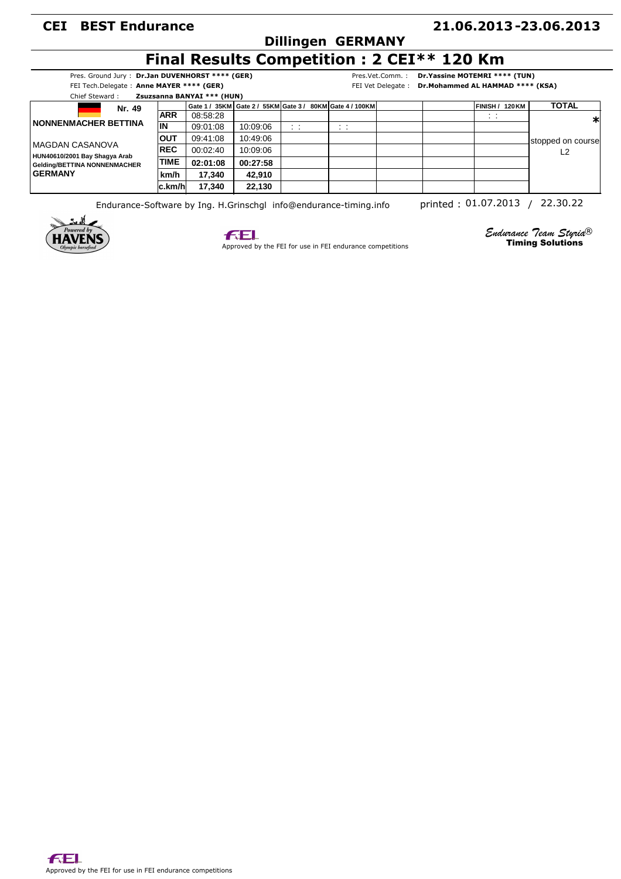### **Dillingen GERMANY**

#### **21.06.2013 23.06.2013 -**

# **Final Results Competition : 2 CEI\*\* 120 Km**

|          | Pres. Ground Jury: Dr.Jan DUVENHORST **** (GER) |
|----------|-------------------------------------------------|
|          | FEI Tech.Delegate: Anne MAYER **** (GER)        |
| ________ | _ _ _ _ _ _ _ _ _ _ _ _ _                       |

Pres.Vet.Comm. : **Dr.Yassine MOTEMRI \*\*\*\* (TUN)**

FEI Vet Delegate : **Dr.Mohammed AL HAMMAD \*\*\*\* (KSA)**

| Chief Steward :               |             | Zsuzsanna BANYAI *** (HUN) |          |                             |                                                                |                 |                   |
|-------------------------------|-------------|----------------------------|----------|-----------------------------|----------------------------------------------------------------|-----------------|-------------------|
| Nr. 49                        |             |                            |          |                             | Gate 1 / 35KM   Gate 2 / 55KM   Gate 3 / 80KM   Gate 4 / 100KM | FINISH / 120 KM | <b>TOTAL</b>      |
|                               | <b>ARR</b>  | 08:58:28                   |          |                             |                                                                | $\sim$<br>. .   | ∗                 |
| <b>INONNENMACHER BETTINA</b>  | İIN         | 09:01:08                   | 10:09:06 | $\cdots$<br>$\cdot$ $\cdot$ | $\cdot$ $\cdot$<br>. .                                         |                 |                   |
| IMAGDAN CASANOVA              | <b>IOUT</b> | 09:41:08                   | 10:49:06 |                             |                                                                |                 | stopped on course |
| HUN40610/2001 Bay Shagya Arab | <b>REC</b>  | 00:02:40                   | 10:09:06 |                             |                                                                |                 | L2                |
| Gelding/BETTINA NONNENMACHER  | <b>TIME</b> | 02:01:08                   | 00:27:58 |                             |                                                                |                 |                   |
| <b>GERMANY</b>                | km/h        | 17.340                     | 42.910   |                             |                                                                |                 |                   |
|                               | lc.km/hl    | 17.340                     | 22,130   |                             |                                                                |                 |                   |

Endurance-Software by Ing. H.Grinschgl info@endurance-timing.info printed: 01.07.2013 / 22.30.22





Approved by the FEI for use in FEI endurance competitions

*Endurance Team Styria*  ® Timing Solutions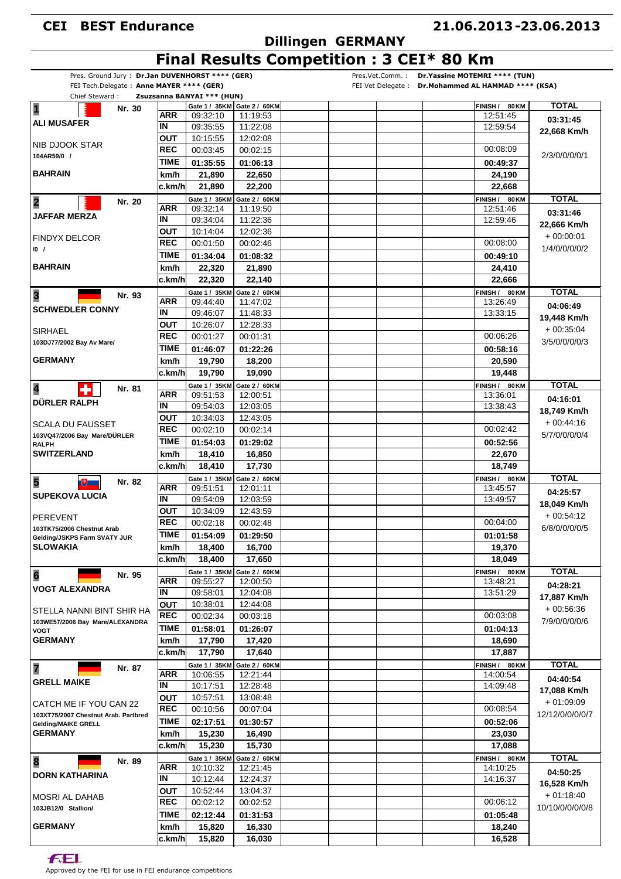### **Dillingen GERMANY**

## **Final Results Competition : 3 CEI\* 80 Km**

| FEI Tech.Delegate: Anne MAYER **** (GER)                   |        |             | Pres. Ground Jury: Dr.Jan DUVENHORST **** (GER) |                             | Pres.Vet.Comm.: Dr.Yassine MOTEMRI **** (TUN)<br>FEI Vet Delegate : Dr. Mohammed AL HAMMAD **** (KSA) |                      |                 |
|------------------------------------------------------------|--------|-------------|-------------------------------------------------|-----------------------------|-------------------------------------------------------------------------------------------------------|----------------------|-----------------|
| Chief Steward:                                             |        |             | Zsuzsanna BANYAI *** (HUN)                      |                             |                                                                                                       |                      |                 |
| $\overline{\mathbf{1}}$                                    | Nr. 30 |             |                                                 | Gate 1 / 35KM Gate 2 / 60KM |                                                                                                       | FINISH / 80 KM       | <b>TOTAL</b>    |
| <b>ALI MUSAFER</b>                                         |        | <b>ARR</b>  | 09:32:10                                        | 11:19:53                    |                                                                                                       | 12:51:45             | 03:31:45        |
|                                                            |        | IN          | 09:35:55                                        | 11:22:08                    |                                                                                                       | 12:59:54             | 22,668 Km/h     |
| NIB DJOOK STAR                                             |        | OUT         | 10:15:55                                        | 12:02:08                    |                                                                                                       | 00:08:09             |                 |
| 104AR59/0 /                                                |        | REC         | 00:03:45                                        | 00:02:15                    |                                                                                                       |                      | 2/3/0/0/0/0/1   |
|                                                            |        | TIME        | 01:35:55                                        | 01:06:13                    |                                                                                                       | 00:49:37             |                 |
| <b>BAHRAIN</b>                                             |        | km/h        | 21,890                                          | 22,650                      |                                                                                                       | 24,190               |                 |
|                                                            |        | c.km/hl     | 21,890                                          | 22,200                      |                                                                                                       | 22,668               |                 |
| $\overline{\mathbf{2}}$                                    | Nr. 20 |             | Gate 1 / 35KM                                   | Gate 2 / 60KM               |                                                                                                       | FINISH / 80 KM       | <b>TOTAL</b>    |
| <b>JAFFAR MERZA</b>                                        |        | ARR         | 09:32:14                                        | 11:19:50                    |                                                                                                       | 12:51:46             | 03:31:46        |
|                                                            |        | IN          | 09:34:04                                        | 11:22:36                    |                                                                                                       | 12:59:46             | 22,666 Km/h     |
| <b>FINDYX DELCOR</b>                                       |        | OUT         | 10:14:04                                        | 12:02:36                    |                                                                                                       |                      | $+00:00:01$     |
| $/0$ /                                                     |        | <b>REC</b>  | 00:01:50                                        | 00:02:46                    |                                                                                                       | 00:08:00             | 1/4/0/0/0/0/2   |
|                                                            |        | TIME        | 01:34:04                                        | 01:08:32                    |                                                                                                       | 00:49:10             |                 |
| <b>BAHRAIN</b>                                             |        | km/h        | 22,320                                          | 21,890                      |                                                                                                       | 24,410               |                 |
|                                                            |        | c.km/h      | 22,320                                          | 22,140                      |                                                                                                       | 22,666               |                 |
| $\overline{\mathbf{3}}$                                    | Nr. 93 |             | Gate 1 / 35KM                                   | Gate 2 / 60KM               |                                                                                                       | FINISH / 80 KM       | <b>TOTAL</b>    |
| <b>SCHWEDLER CONNY</b>                                     |        | <b>ARR</b>  | 09:44:40                                        | 11:47:02                    |                                                                                                       | 13:26:49             | 04:06:49        |
|                                                            |        | ΙN          | 09:46:07                                        | 11:48:33                    |                                                                                                       | 13:33:15             | 19,448 Km/h     |
| <b>SIRHAEL</b>                                             |        | OUT         | 10:26:07                                        | 12:28:33                    |                                                                                                       |                      | $+00.35.04$     |
| 103DJ77/2002 Bay Av Mare/                                  |        | <b>REC</b>  | 00:01:27                                        | 00:01:31                    |                                                                                                       | 00:06:26             | 3/5/0/0/0/0/3   |
|                                                            |        | TIME        | 01:46:07                                        | 01:22:26                    |                                                                                                       | 00:58:16             |                 |
| <b>GERMANY</b>                                             |        | km/h        | 19,790                                          | 18,200                      |                                                                                                       | 20,590               |                 |
|                                                            |        | c.km/h      | 19,790                                          | 19,090                      |                                                                                                       | 19,448               |                 |
| 4                                                          | Nr. 81 |             |                                                 | Gate 1 / 35KM Gate 2 / 60KM |                                                                                                       | FINISH / 80 KM       | <b>TOTAL</b>    |
| <b>DÜRLER RALPH</b>                                        |        | ARR         | 09:51:53                                        | 12:00:51                    |                                                                                                       | 13:36:01             | 04:16:01        |
|                                                            |        | IN          | 09:54:03                                        | 12:03:05                    |                                                                                                       | 13:38:43             | 18,749 Km/h     |
| <b>SCALA DU FAUSSET</b>                                    |        | ΟUΤ         | 10:34:03                                        | 12:43:05                    |                                                                                                       |                      | $+00:44:16$     |
| 103VQ47/2006 Bay Mare/DÜRLER                               |        | <b>REC</b>  | 00:02:10                                        | 00:02:14                    |                                                                                                       | 00:02:42             | 5/7/0/0/0/0/4   |
| <b>RALPH</b>                                               |        | <b>TIME</b> | 01:54:03                                        | 01:29:02                    |                                                                                                       | 00:52:56             |                 |
| <b>SWITZERLAND</b>                                         |        | km/h        | 18,410                                          | 16,850                      |                                                                                                       | 22,670               |                 |
|                                                            |        | c.km/h      | 18,410                                          | 17,730                      |                                                                                                       | 18,749               |                 |
| 5                                                          | Nr. 82 |             |                                                 | Gate 1 / 35KM Gate 2 / 60KM |                                                                                                       | FINISH / 80 KM       | <b>TOTAL</b>    |
| $\mathbb{R}^+$                                             |        | <b>ARR</b>  | 09:51:51                                        | 12:01:11                    |                                                                                                       | 13:45:57             | 04:25:57        |
| <b>SUPEKOVA LUCIA</b>                                      |        | IN          | 09:54:09                                        | 12:03:59                    |                                                                                                       | 13:49:57             | 18,049 Km/h     |
|                                                            |        | ΟUΤ         | 10:34:09                                        | 12:43:59                    |                                                                                                       |                      | $+00.54.12$     |
| <b>PEREVENT</b>                                            |        | <b>REC</b>  | 00:02:18                                        | 00:02:48                    |                                                                                                       | 00:04:00             |                 |
| 103TK75/2006 Chestnut Arab<br>Gelding/JSKPS Farm SVATY JUR |        |             | TIME 01:54:09                                   | 01:29:50                    |                                                                                                       | 01:01:58             | 6/8/0/0/0/0/5   |
| <b>SLOWAKIA</b>                                            |        | km/h        | 18,400                                          | 16,700                      |                                                                                                       | 19.370               |                 |
|                                                            |        | c.km/h      | 18,400                                          | 17,650                      |                                                                                                       | 18,049               |                 |
|                                                            |        |             | Gate 1 / 35KM                                   | Gate 2 / 60KM               |                                                                                                       | FINISH / 80 KM       | <b>TOTAL</b>    |
| 6                                                          | Nr. 95 | <b>ARR</b>  | 09:55:27                                        | 12:00:50                    |                                                                                                       | 13:48:21             |                 |
| <b>VOGT ALEXANDRA</b>                                      |        | IN          | 09:58:01                                        | 12:04:08                    |                                                                                                       | 13:51:29             | 04:28:21        |
|                                                            |        | OUT         | 10:38:01                                        | 12:44:08                    |                                                                                                       |                      | 17,887 Km/h     |
| STELLA NANNI BINT SHIR HA                                  |        | <b>REC</b>  | 00:02:34                                        | 00:03:18                    |                                                                                                       | 00:03:08             | $+00.56.36$     |
| 103WE57/2006 Bay Mare/ALEXANDRA<br><b>VOGT</b>             |        | <b>TIME</b> | 01:58:01                                        | 01:26:07                    |                                                                                                       | 01:04:13             | 7/9/0/0/0/0/6   |
| <b>GERMANY</b>                                             |        | km/h        | 17,790                                          | 17,420                      |                                                                                                       | 18,690               |                 |
|                                                            |        | c.km/h      | 17,790                                          | 17,640                      |                                                                                                       | 17,887               |                 |
|                                                            |        |             | Gate 1 / 35KM                                   | Gate 2 / 60KM               |                                                                                                       | FINISH / 80 KM       | <b>TOTAL</b>    |
| $\overline{\mathbf{z}}$                                    | Nr. 87 | <b>ARR</b>  | 10:06:55                                        | 12:21:44                    |                                                                                                       | 14:00:54             |                 |
| <b>GRELL MAIKE</b>                                         |        | IN          | 10:17:51                                        | 12:28:48                    |                                                                                                       | 14:09:48             | 04:40:54        |
|                                                            |        | <b>OUT</b>  | 10:57:51                                        | 13:08:48                    |                                                                                                       |                      | 17,088 Km/h     |
| CATCH ME IF YOU CAN 22                                     |        | <b>REC</b>  | 00:10:56                                        | 00:07:04                    |                                                                                                       | 00:08:54             | $+01:09:09$     |
| 103XT75/2007 Chestnut Arab. Partbred                       |        | <b>TIME</b> | 02:17:51                                        | 01:30:57                    |                                                                                                       | 00:52:06             | 12/12/0/0/0/0/7 |
| <b>Gelding/MAIKE GRELL</b><br><b>GERMANY</b>               |        |             |                                                 |                             |                                                                                                       |                      |                 |
|                                                            |        | km/h        | 15,230                                          | 16,490                      |                                                                                                       | 23,030               |                 |
|                                                            |        | c.km/hl     | 15,230                                          | 15,730                      |                                                                                                       | 17,088               |                 |
| $\overline{\mathbf{8}}$                                    | Nr. 89 | <b>ARR</b>  | Gate 1 / 35KM                                   | Gate 2 / 60KM               |                                                                                                       | FINISH / 80 KM       | <b>TOTAL</b>    |
| <b>DORN KATHARINA</b>                                      |        | IN          | 10:10:32<br>10:12:44                            | 12:21:45<br>12:24:37        |                                                                                                       | 14:10:25<br>14:16:37 | 04:50:25        |
|                                                            |        |             |                                                 |                             |                                                                                                       |                      | 16,528 Km/h     |
| <b>MOSRI AL DAHAB</b>                                      |        | <b>OUT</b>  | 10:52:44                                        | 13:04:37                    |                                                                                                       | 00:06:12             | $+01:18:40$     |
| 103JB12/0 Stallion/                                        |        | <b>REC</b>  | 00:02:12                                        | 00:02:52                    |                                                                                                       |                      | 10/10/0/0/0/0/8 |
|                                                            |        | <b>TIME</b> | 02:12:44                                        | 01:31:53                    |                                                                                                       | 01:05:48             |                 |
| <b>GERMANY</b>                                             |        | km/h        | 15,820                                          | 16,330                      |                                                                                                       | 18,240               |                 |
|                                                            |        | c.km/h      | 15,820                                          | 16,030                      |                                                                                                       | 16,528               |                 |

**FEL**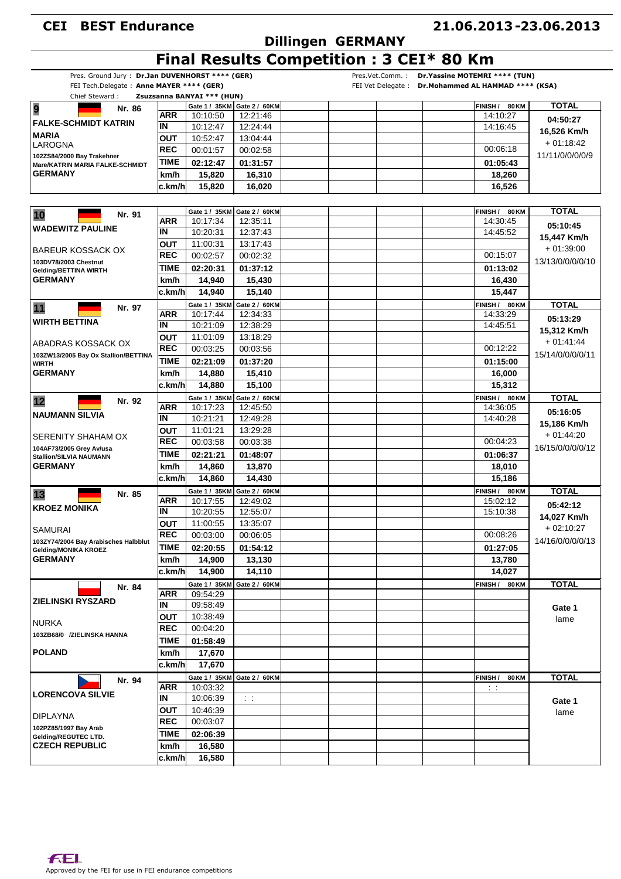# **Dillingen GERMANY**

#### **21.06.2013 23.06.2013 -**

# **Final Results Competition : 3 CEI\* 80 Km**

| Pres. Ground Jury: Dr.Jan DUVENHORST **** (GER)<br>FEI Tech.Delegate: Anne MAYER **** (GER)<br>Chief Steward: |                   | Zsuzsanna BANYAI *** (HUN) |                             | Pres.Vet.Comm.:<br>FEI Vet Delegate: | Dr. Yassine MOTEMRI **** (TUN)<br>Dr.Mohammed AL HAMMAD **** (KSA) |                            |                  |
|---------------------------------------------------------------------------------------------------------------|-------------------|----------------------------|-----------------------------|--------------------------------------|--------------------------------------------------------------------|----------------------------|------------------|
|                                                                                                               |                   |                            | Gate 1 / 35KM Gate 2 / 60KM |                                      |                                                                    | FINISH /                   | <b>TOTAL</b>     |
| 9<br>Nr. 86                                                                                                   | <b>ARR</b>        | 10:10:50                   | 12:21:46                    |                                      |                                                                    | 80 KM<br>14:10:27          |                  |
| <b>FALKE-SCHMIDT KATRIN</b>                                                                                   | IN                | 10:12:47                   | 12:24:44                    |                                      |                                                                    | 14:16:45                   | 04:50:27         |
| <b>MARIA</b>                                                                                                  | ΟUΤ               | 10:52:47                   | 13:04:44                    |                                      |                                                                    |                            | 16,526 Km/h      |
| LAROGNA                                                                                                       | <b>REC</b>        |                            |                             |                                      |                                                                    | 00:06:18                   | $+01:18:42$      |
| 102ZS84/2000 Bay Trakehner                                                                                    |                   | 00:01:57                   | 00:02:58                    |                                      |                                                                    |                            | 11/11/0/0/0/0/9  |
| Mare/KATRIN MARIA FALKE-SCHMIDT                                                                               | TIME              | 02:12:47                   | 01:31:57                    |                                      |                                                                    | 01:05:43                   |                  |
| <b>GERMANY</b>                                                                                                | km/h              | 15,820                     | 16,310                      |                                      |                                                                    | 18.260                     |                  |
|                                                                                                               | c.km/h            | 15,820                     | 16,020                      |                                      |                                                                    | 16,526                     |                  |
|                                                                                                               |                   |                            |                             |                                      |                                                                    |                            |                  |
| 10<br>Nr. 91                                                                                                  |                   | Gate 1 / 35KM              | Gate 2 / 60KM               |                                      |                                                                    | FINISH /<br>80 KM          | <b>TOTAL</b>     |
|                                                                                                               | <b>ARR</b>        | 10:17:34                   | 12:35:11                    |                                      |                                                                    | 14:30:45                   | 05:10:45         |
| <b>WADEWITZ PAULINE</b>                                                                                       | IN                | 10:20:31                   | 12:37:43                    |                                      |                                                                    | 14:45:52                   | 15,447 Km/h      |
|                                                                                                               | ουτ               | 11:00:31                   | 13:17:43                    |                                      |                                                                    |                            |                  |
| <b>BAREUR KOSSACK OX</b>                                                                                      | <b>REC</b>        | 00:02:57                   | 00:02:32                    |                                      |                                                                    | 00:15:07                   | $+01:39:00$      |
| 103DV78/2003 Chestnut<br><b>Gelding/BETTINA WIRTH</b>                                                         | TIME              | 02:20:31                   | 01:37:12                    |                                      |                                                                    | 01:13:02                   | 13/13/0/0/0/0/10 |
| <b>GERMANY</b>                                                                                                | km/h              | 14,940                     | 15,430                      |                                      |                                                                    | 16,430                     |                  |
|                                                                                                               | c.km/h            | 14,940                     | 15,140                      |                                      |                                                                    | 15,447                     |                  |
|                                                                                                               |                   |                            |                             |                                      |                                                                    |                            |                  |
| 11<br>Nr. 97                                                                                                  | <b>ARR</b>        | Gate 1 / 35KM<br>10:17:44  | Gate 2 / 60KM<br>12:34:33   |                                      |                                                                    | FINISH / 80 KM<br>14:33:29 | <b>TOTAL</b>     |
| <b>WIRTH BETTINA</b>                                                                                          | ΙN                | 10:21:09                   | 12:38:29                    |                                      |                                                                    | 14:45:51                   | 05:13:29         |
|                                                                                                               |                   |                            |                             |                                      |                                                                    |                            | 15,312 Km/h      |
| ABADRAS KOSSACK OX                                                                                            | ουτ               | 11:01:09                   | 13:18:29                    |                                      |                                                                    |                            | $+01:41:44$      |
| 103ZW13/2005 Bay Ox Stallion/BETTINA                                                                          | <b>REC</b>        | 00:03:25                   | 00:03:56                    |                                      |                                                                    | 00:12:22                   | 15/14/0/0/0/0/11 |
| <b>WIRTH</b>                                                                                                  | <b>TIME</b>       | 02:21:09                   | 01:37:20                    |                                      |                                                                    | 01:15:00                   |                  |
| <b>GERMANY</b>                                                                                                | km/h              | 14,880                     | 15,410                      |                                      |                                                                    | 16,000                     |                  |
|                                                                                                               | c.km/h            | 14,880                     | 15,100                      |                                      |                                                                    | 15,312                     |                  |
| 12<br>Nr. 92                                                                                                  |                   |                            | Gate 1 / 35KM Gate 2 / 60KM |                                      |                                                                    | FINISH / 80 KM             | <b>TOTAL</b>     |
|                                                                                                               | <b>ARR</b>        | 10:17:23                   | 12:45:50                    |                                      |                                                                    | 14:36:05                   | 05:16:05         |
| <b>NAUMANN SILVIA</b>                                                                                         | IN                | 10:21:21                   | 12:49:28                    |                                      |                                                                    | 14:40:28                   | 15,186 Km/h      |
|                                                                                                               | ουτ               | 11:01:21                   | 13:29:28                    |                                      |                                                                    |                            |                  |
| SERENITY SHAHAM OX                                                                                            | <b>REC</b>        | 00:03:58                   | 00:03:38                    |                                      |                                                                    | 00:04:23                   | $+01:44:20$      |
| 104AF73/2005 Grey Av/usa<br><b>Stallion/SILVIA NAUMANN</b>                                                    | TIME              | 02:21:21                   | 01:48:07                    |                                      |                                                                    | 01:06:37                   | 16/15/0/0/0/0/12 |
| <b>GERMANY</b>                                                                                                | km/h              | 14,860                     | 13,870                      |                                      |                                                                    | 18,010                     |                  |
|                                                                                                               | c.km/h            | 14,860                     | 14,430                      |                                      |                                                                    | 15,186                     |                  |
|                                                                                                               |                   |                            |                             |                                      |                                                                    |                            |                  |
| Nr. 85<br>13                                                                                                  | <b>ARR</b>        | Gate 1 / 35KM<br>10:17:55  | Gate 2 / 60KM<br>12:49:02   |                                      |                                                                    | FINISH / 80 KM<br>15:02:12 | <b>TOTAL</b>     |
| <b>KROEZ MONIKA</b>                                                                                           | ΙN                | 10:20:55                   | 12:55:07                    |                                      |                                                                    | 15:10:38                   | 05:42:12         |
|                                                                                                               |                   |                            |                             |                                      |                                                                    |                            | 14,027 Km/h      |
| <b>SAMURAI</b>                                                                                                | ουτ<br><b>REC</b> | 11:00:55                   | 13:35:07                    |                                      |                                                                    | 00:08:26                   | $+02:10:27$      |
| 103ZY74/2004 Bay Arabisches Halbblut                                                                          |                   | 00:03:00                   | 00:06:05                    |                                      |                                                                    |                            | 14/16/0/0/0/0/13 |
| Gelding/MONIKA KROEZ                                                                                          | <b>TIME</b>       | 02:20:55                   | 01:54:12                    |                                      |                                                                    | 01:27:05                   |                  |
| <b>GERMANY</b>                                                                                                | km/h              | 14,900                     | 13,130                      |                                      |                                                                    | 13,780                     |                  |
|                                                                                                               | c.km/h            | 14,900                     | 14,110                      |                                      |                                                                    | 14,027                     |                  |
| Nr. 84                                                                                                        |                   | Gate 1 / 35KM              | Gate 2 / 60KM               |                                      |                                                                    | 80 KM<br>FINISH /          | <b>TOTAL</b>     |
| <b>ZIELINSKI RYSZARD</b>                                                                                      | <b>ARR</b>        | 09:54:29                   |                             |                                      |                                                                    |                            |                  |
|                                                                                                               | IN                | 09:58:49                   |                             |                                      |                                                                    |                            | Gate 1           |
|                                                                                                               | <b>OUT</b>        | 10:38:49                   |                             |                                      |                                                                    |                            | lame             |
| <b>NURKA</b>                                                                                                  | <b>REC</b>        | 00:04:20                   |                             |                                      |                                                                    |                            |                  |
| 103ZB68/0 /ZIELINSKA HANNA                                                                                    | TIME              | 01:58:49                   |                             |                                      |                                                                    |                            |                  |
| <b>POLAND</b>                                                                                                 | km/h              | 17,670                     |                             |                                      |                                                                    |                            |                  |
|                                                                                                               | c.km/h            | 17,670                     |                             |                                      |                                                                    |                            |                  |
|                                                                                                               |                   | Gate 1 / 35KM              | Gate 2 / 60KM               |                                      |                                                                    | <b>80 KM</b>               | <b>TOTAL</b>     |
| Nr. 94                                                                                                        | <b>ARR</b>        | 10:03:32                   |                             |                                      |                                                                    | FINISH /<br>$\sim$ 1       |                  |
| <b>LORENCOVA SILVIE</b>                                                                                       | IN                | 10:06:39                   | $\sim$ 1                    |                                      |                                                                    |                            |                  |
|                                                                                                               |                   |                            |                             |                                      |                                                                    |                            | Gate 1           |
| <b>DIPLAYNA</b>                                                                                               | <b>OUT</b>        | 10:46:39                   |                             |                                      |                                                                    |                            | lame             |
| 102PZ85/1997 Bay Arab                                                                                         | <b>REC</b>        | 00:03:07                   |                             |                                      |                                                                    |                            |                  |
| Gelding/REGUTEC LTD.                                                                                          | <b>TIME</b>       | 02:06:39                   |                             |                                      |                                                                    |                            |                  |
| <b>CZECH REPUBLIC</b>                                                                                         | km/h              | 16,580                     |                             |                                      |                                                                    |                            |                  |
|                                                                                                               | c.km/h            | 16,580                     |                             |                                      |                                                                    |                            |                  |
|                                                                                                               |                   |                            |                             |                                      |                                                                    |                            |                  |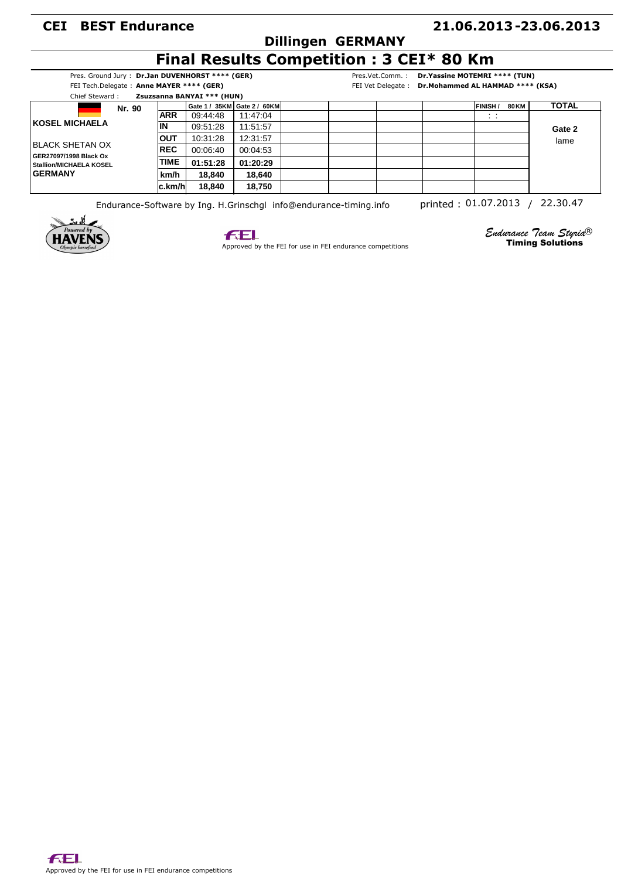### **Dillingen GERMANY**

#### **21.06.2013 23.06.2013 -**

# **Final Results Competition : 3 CEI\* 80 Km**

Pres. Ground Jury : **Dr.Jan DUVENHORST \*\*\*\* (GER)** FEI Tech.Delegate : **Anne MAYER \*\*\*\* (GER)**

Pres.Vet.Comm. : **Dr.Yassine MOTEMRI \*\*\*\* (TUN)**

| FEI Tech.Delegate: Anne MAYER **** (GER)          |             |                            |                             |  | FEI Vet Delegate: Dr.Mohammed AL HAMMAD **** (KSA) |  |  |                                 |                |
|---------------------------------------------------|-------------|----------------------------|-----------------------------|--|----------------------------------------------------|--|--|---------------------------------|----------------|
| Chief Steward:                                    |             | Zsuzsanna BANYAI *** (HUN) |                             |  |                                                    |  |  |                                 |                |
|                                                   | Nr. 90      |                            | Gate 1 / 35KM Gate 2 / 60KM |  |                                                    |  |  | <b>FINISH</b> /<br><b>80 KM</b> | <b>TOTAL</b>   |
|                                                   | <b>ARR</b>  | 09:44:48                   | 11:47:04                    |  |                                                    |  |  | $\sim$ $\sim$<br>$\sim$         |                |
| KOSEL MICHAELA                                    | ΙN          | 09:51:28                   | 11:51:57                    |  |                                                    |  |  |                                 | Gate 2<br>lame |
| IBLACK SHETAN OX                                  | OUT         | 10:31:28                   | 12:31:57                    |  |                                                    |  |  |                                 |                |
|                                                   | <b>REC</b>  | 00:06:40                   | 00:04:53                    |  |                                                    |  |  |                                 |                |
| GER27097/1998 Black Ox<br>Stallion/MICHAELA KOSEL | <b>TIME</b> | 01:51:28                   | 01:20:29                    |  |                                                    |  |  |                                 |                |
| <b>GERMANY</b>                                    | km/h        | 18.840                     | 18.640                      |  |                                                    |  |  |                                 |                |
|                                                   | lc.km/hl    | 18.840                     | 18.750                      |  |                                                    |  |  |                                 |                |

Endurance-Software by Ing. H.Grinschgl info@endurance-timing.info printed: 01.07.2013 / 22.30.47





Approved by the FEI for use in FEI endurance competitions

*Endurance Team Styria*  ® Timing Solutions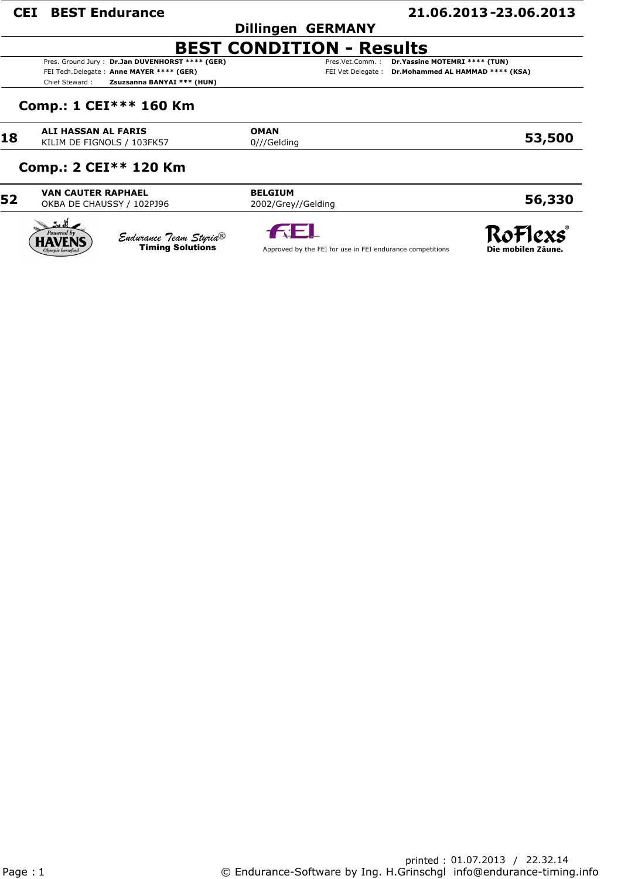#### **Dillingen GERMANY**

#### **21.06.2013 23.06.2013 -**

### **BEST CONDITION - Results**

Pres. Ground Jury : **Dr.Jan DUVENHORST \*\*\*\* (GER)** FEI Tech.Delegate : **Anne MAYER \*\*\*\* (GER)** Chief Steward : **Zsuzsanna BANYAI \*\*\* (HUN)**

Pres.Vet.Comm. : **Dr.Yassine MOTEMRI \*\*\*\* (TUN)** FEI Vet Delegate : **Dr.Mohammed AL HAMMAD \*\*\*\* (KSA)**

#### **Comp.: 1 CEI\*\*\* 160 Km**

**18 ALI HASSAN AL FARIS OMAN**<br>
KILIM DE FIGNOLS / 103FK57 **1001** 0///Gelding

**53,500**

#### **Comp.: 2 CEI\*\* 120 Km**

**52 VAN CAUTER RAPHAEL BELGIUM** OKBA DE CHAUSSY / 102PJ96 2002/Grey//Gelding

**56,330**



*Endurance Team Styria*  Timing Solutions ®



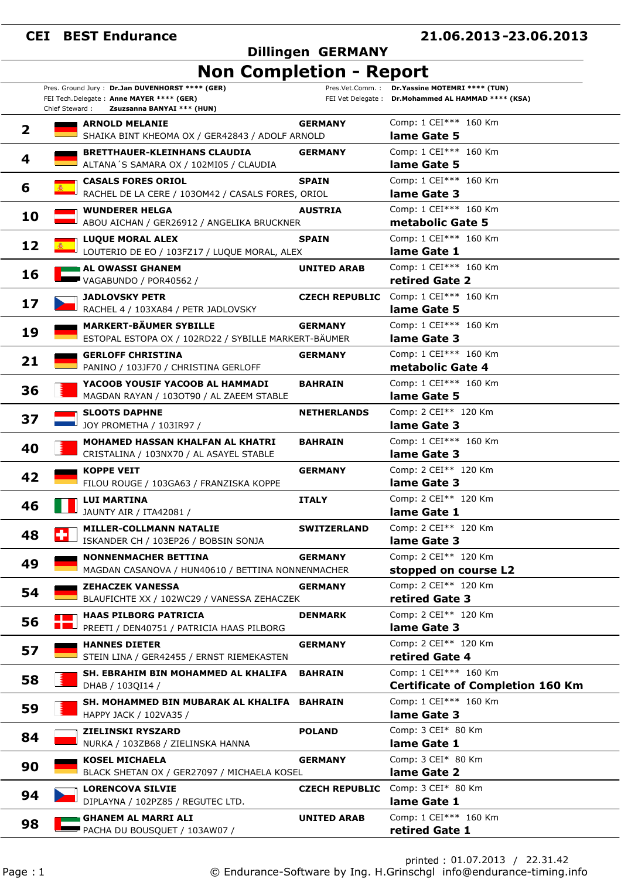Pres. Ground Jury : **Dr.Jan DUVENHORST \*\*\*\* (GER)**

#### **21.06.2013 23.06.2013 -**

#### **Dillingen GERMANY**

### **Non Completion - Report**

Pres.Vet.Comm. : **Dr.Yassine MOTEMRI \*\*\*\* (TUN)** FEI Vet Delegate : **Dr.Mohammed AL HAMMAD \*\*\*\* (KSA)**

|                         | Chief Steward: | FEI Tech.Delegate: Anne MAYER **** (GER)<br>Zsuzsanna BANYAI *** (HUN)                |                       | FEI Vet Delegate: Dr.Mohammed AL HAMMAD **** (KSA)               |
|-------------------------|----------------|---------------------------------------------------------------------------------------|-----------------------|------------------------------------------------------------------|
| $\overline{\mathbf{2}}$ |                | <b>ARNOLD MELANIE</b><br>SHAIKA BINT KHEOMA OX / GER42843 / ADOLF ARNOLD              | <b>GERMANY</b>        | Comp: 1 CEI*** 160 Km<br>lame Gate 5                             |
| 4                       |                | <b>BRETTHAUER-KLEINHANS CLAUDIA</b><br>ALTANA'S SAMARA OX / 102MI05 / CLAUDIA         | <b>GERMANY</b>        | Comp: 1 CEI*** 160 Km<br>lame Gate 5                             |
| 6                       |                | <b>CASALS FORES ORIOL</b><br>RACHEL DE LA CERE / 1030M42 / CASALS FORES, ORIOL        | <b>SPAIN</b>          | Comp: 1 CEI*** 160 Km<br>lame Gate 3                             |
| 10                      |                | <b>WUNDERER HELGA</b><br>ABOU AICHAN / GER26912 / ANGELIKA BRUCKNER                   | <b>AUSTRIA</b>        | Comp: 1 CEI*** 160 Km<br>metabolic Gate 5                        |
| 12                      |                | <b>LUQUE MORAL ALEX</b><br>LOUTERIO DE EO / 103FZ17 / LUQUE MORAL, ALEX               | <b>SPAIN</b>          | Comp: 1 CEI*** 160 Km<br>lame Gate 1                             |
| 16                      |                | AL OWASSI GHANEM<br>VAGABUNDO / POR40562 /                                            | <b>UNITED ARAB</b>    | Comp: 1 CEI*** 160 Km<br>retired Gate 2                          |
| 17                      |                | <b>JADLOVSKY PETR</b><br>RACHEL 4 / 103XA84 / PETR JADLOVSKY                          | <b>CZECH REPUBLIC</b> | Comp: 1 CEI*** 160 Km<br>lame Gate 5                             |
| 19                      |                | <b>MARKERT-BÄUMER SYBILLE</b><br>ESTOPAL ESTOPA OX / 102RD22 / SYBILLE MARKERT-BÄUMER | <b>GERMANY</b>        | Comp: 1 CEI*** 160 Km<br>lame Gate 3                             |
| 21                      |                | <b>GERLOFF CHRISTINA</b><br>PANINO / 103JF70 / CHRISTINA GERLOFF                      | <b>GERMANY</b>        | Comp: 1 CEI*** 160 Km<br>metabolic Gate 4                        |
| 36                      |                | YACOOB YOUSIF YACOOB AL HAMMADI<br>MAGDAN RAYAN / 1030T90 / AL ZAEEM STABLE           | <b>BAHRAIN</b>        | Comp: 1 CEI*** 160 Km<br>lame Gate 5                             |
| 37                      |                | <b>SLOOTS DAPHNE</b><br>JOY PROMETHA / 103IR97 /                                      | <b>NETHERLANDS</b>    | Comp: 2 CEI** 120 Km<br>lame Gate 3                              |
| 40                      |                | MOHAMED HASSAN KHALFAN AL KHATRI<br>CRISTALINA / 103NX70 / AL ASAYEL STABLE           | <b>BAHRAIN</b>        | Comp: 1 CEI*** 160 Km<br>lame Gate 3                             |
| 42                      |                | <b>KOPPE VEIT</b><br>FILOU ROUGE / 103GA63 / FRANZISKA KOPPE                          | <b>GERMANY</b>        | Comp: 2 CEI** 120 Km<br>lame Gate 3                              |
| 46                      |                | <b>LUI MARTINA</b><br>JAUNTY AIR / ITA42081 /                                         | <b>ITALY</b>          | Comp: 2 CEI** 120 Km<br>lame Gate 1                              |
| 48                      |                | <b>MILLER-COLLMANN NATALIE</b><br>ISKANDER CH / 103EP26 / BOBSIN SONJA                | <b>SWITZERLAND</b>    | Comp: 2 CEI** 120 Km<br>lame Gate 3                              |
| 49                      |                | <b>NONNENMACHER BETTINA</b><br>MAGDAN CASANOVA / HUN40610 / BETTINA NONNENMACHER      | <b>GERMANY</b>        | Comp: 2 CEI** 120 Km<br>stopped on course L2                     |
| 54                      |                | <b>ZEHACZEK VANESSA</b><br>BLAUFICHTE XX / 102WC29 / VANESSA ZEHACZEK                 | <b>GERMANY</b>        | Comp: 2 CEI** 120 Km<br>retired Gate 3                           |
| 56                      |                | <b>HAAS PILBORG PATRICIA</b><br>PREETI / DEN40751 / PATRICIA HAAS PILBORG             | <b>DENMARK</b>        | Comp: 2 CEI** 120 Km<br>lame Gate 3                              |
| 57                      |                | <b>HANNES DIETER</b><br>STEIN LINA / GER42455 / ERNST RIEMEKASTEN                     | <b>GERMANY</b>        | Comp: 2 CEI** 120 Km<br>retired Gate 4                           |
| 58                      |                | SH. EBRAHIM BIN MOHAMMED AL KHALIFA<br>DHAB / 103QI14 /                               | <b>BAHRAIN</b>        | Comp: 1 CEI*** 160 Km<br><b>Certificate of Completion 160 Km</b> |
| 59                      |                | SH. MOHAMMED BIN MUBARAK AL KHALIFA BAHRAIN<br>HAPPY JACK / 102VA35 /                 |                       | Comp: 1 CEI*** 160 Km<br>lame Gate 3                             |
| 84                      |                | <b>ZIELINSKI RYSZARD</b><br>NURKA / 103ZB68 / ZIELINSKA HANNA                         | <b>POLAND</b>         | Comp: 3 CEI* 80 Km<br>lame Gate 1                                |
| 90                      |                | <b>KOSEL MICHAELA</b><br>BLACK SHETAN OX / GER27097 / MICHAELA KOSEL                  | <b>GERMANY</b>        | Comp: 3 CEI* 80 Km<br>lame Gate 2                                |
| 94                      |                | <b>LORENCOVA SILVIE</b><br>DIPLAYNA / 102PZ85 / REGUTEC LTD.                          | <b>CZECH REPUBLIC</b> | Comp: 3 CEI* 80 Km<br>lame Gate 1                                |
| 98                      |                | <b>GHANEM AL MARRI ALI</b><br>PACHA DU BOUSQUET / 103AW07 /                           | <b>UNITED ARAB</b>    | Comp: 1 CEI*** 160 Km<br>retired Gate 1                          |

printed : 01.07.2013 / 22.31.42 Page : 1 © Endurance-Software by Ing. H.Grinschgl info@endurance-timing.info